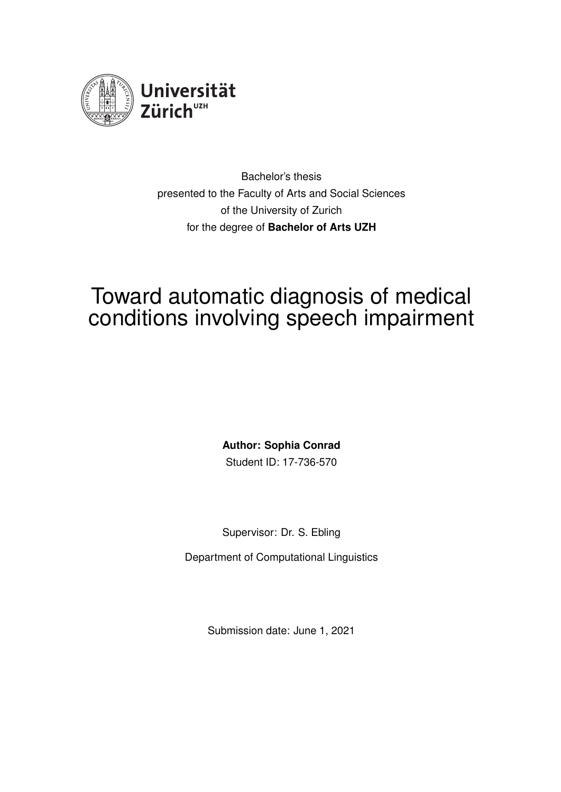<span id="page-0-0"></span>

Bachelor's thesis presented to the Faculty of Arts and Social Sciences of the University of Zurich for the degree of **Bachelor of Arts UZH**

# Toward automatic diagnosis of medical conditions involving speech impairment

**Author: Sophia Conrad** Student ID: 17-736-570

Supervisor: Dr. S. Ebling

Department of Computational Linguistics

Submission date: June 1, 2021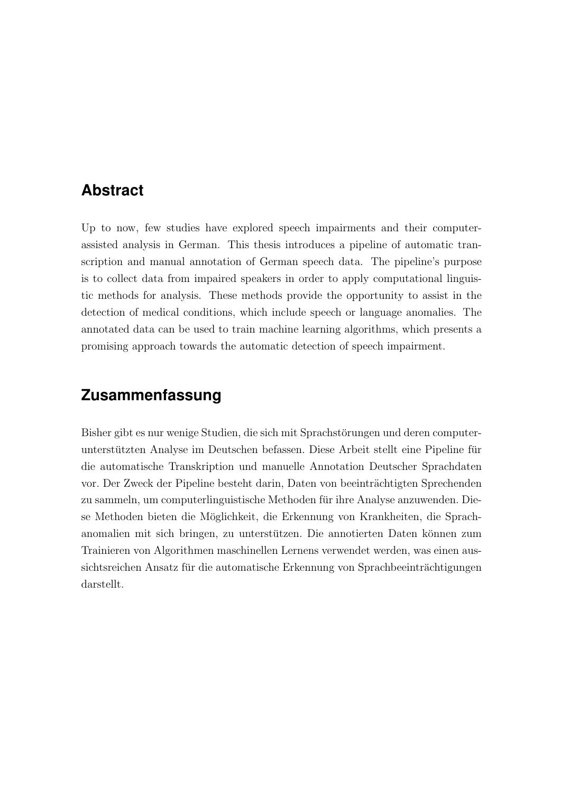### <span id="page-1-0"></span>**Abstract**

Up to now, few studies have explored speech impairments and their computerassisted analysis in German. This thesis introduces a pipeline of automatic transcription and manual annotation of German speech data. The pipeline's purpose is to collect data from impaired speakers in order to apply computational linguistic methods for analysis. These methods provide the opportunity to assist in the detection of medical conditions, which include speech or language anomalies. The annotated data can be used to train machine learning algorithms, which presents a promising approach towards the automatic detection of speech impairment.

### **Zusammenfassung**

Bisher gibt es nur wenige Studien, die sich mit Sprachstörungen und deren computerunterstützten Analyse im Deutschen befassen. Diese Arbeit stellt eine Pipeline für die automatische Transkription und manuelle Annotation Deutscher Sprachdaten vor. Der Zweck der Pipeline besteht darin, Daten von beeinträchtigten Sprechenden zu sammeln, um computerlinguistische Methoden fur ihre Analyse anzuwenden. Die- ¨ se Methoden bieten die Möglichkeit, die Erkennung von Krankheiten, die Sprachanomalien mit sich bringen, zu unterstützen. Die annotierten Daten können zum Trainieren von Algorithmen maschinellen Lernens verwendet werden, was einen aussichtsreichen Ansatz für die automatische Erkennung von Sprachbeeinträchtigungen darstellt.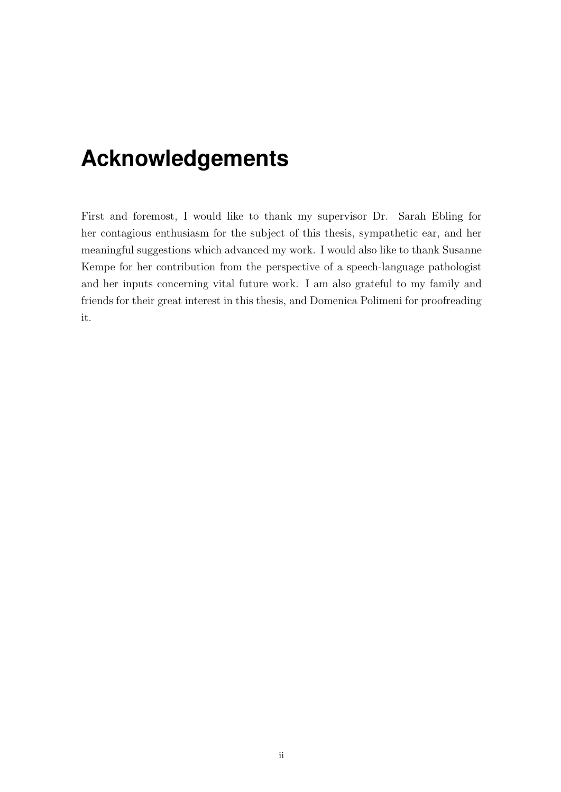## <span id="page-2-0"></span>**Acknowledgements**

First and foremost, I would like to thank my supervisor Dr. Sarah Ebling for her contagious enthusiasm for the subject of this thesis, sympathetic ear, and her meaningful suggestions which advanced my work. I would also like to thank Susanne Kempe for her contribution from the perspective of a speech-language pathologist and her inputs concerning vital future work. I am also grateful to my family and friends for their great interest in this thesis, and Domenica Polimeni for proofreading it.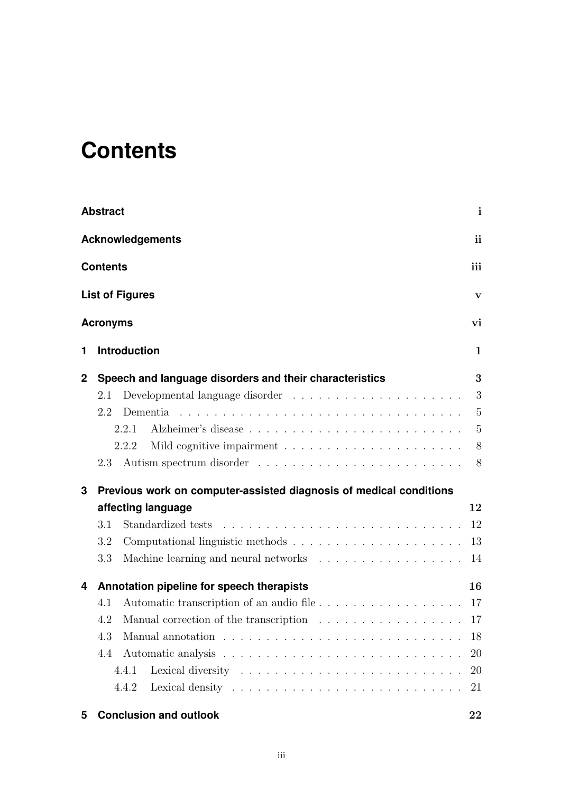# <span id="page-3-0"></span>**Contents**

|                               | <b>Abstract</b>                                                                              | $\mathbf{i}$   |  |  |  |  |
|-------------------------------|----------------------------------------------------------------------------------------------|----------------|--|--|--|--|
| ii<br><b>Acknowledgements</b> |                                                                                              |                |  |  |  |  |
|                               | iii<br><b>Contents</b>                                                                       |                |  |  |  |  |
|                               | <b>List of Figures</b>                                                                       | $\mathbf{V}$   |  |  |  |  |
|                               | <b>Acronyms</b>                                                                              | vi             |  |  |  |  |
| 1                             | <b>Introduction</b>                                                                          | 1              |  |  |  |  |
| $\mathbf 2$                   | Speech and language disorders and their characteristics                                      | 3              |  |  |  |  |
|                               | Developmental language disorder $\ldots \ldots \ldots \ldots \ldots \ldots \ldots$<br>2.1    | 3              |  |  |  |  |
|                               | 2.2<br>Dementia                                                                              | 5              |  |  |  |  |
|                               | 2.2.1                                                                                        | 5              |  |  |  |  |
|                               | 2.2.2                                                                                        | 8 <sup>8</sup> |  |  |  |  |
|                               | 2.3                                                                                          | 8 <sup>8</sup> |  |  |  |  |
| 3                             | Previous work on computer-assisted diagnosis of medical conditions                           |                |  |  |  |  |
|                               | affecting language                                                                           | 12             |  |  |  |  |
|                               | 3.1                                                                                          | 12             |  |  |  |  |
|                               | 3.2                                                                                          | 13             |  |  |  |  |
|                               | 3.3                                                                                          | 14             |  |  |  |  |
| 4                             | Annotation pipeline for speech therapists                                                    | 16             |  |  |  |  |
|                               | Automatic transcription of an audio file 17<br>4.1                                           |                |  |  |  |  |
|                               | Manual correction of the transcription $\ldots \ldots \ldots \ldots \ldots \ldots 17$<br>4.2 |                |  |  |  |  |
|                               | 4.3                                                                                          | 18             |  |  |  |  |
|                               | 4.4                                                                                          | 20             |  |  |  |  |
|                               | 4.4.1                                                                                        | 20             |  |  |  |  |
|                               | 4.4.2                                                                                        | 21             |  |  |  |  |
| 5                             | <b>Conclusion and outlook</b>                                                                | 22             |  |  |  |  |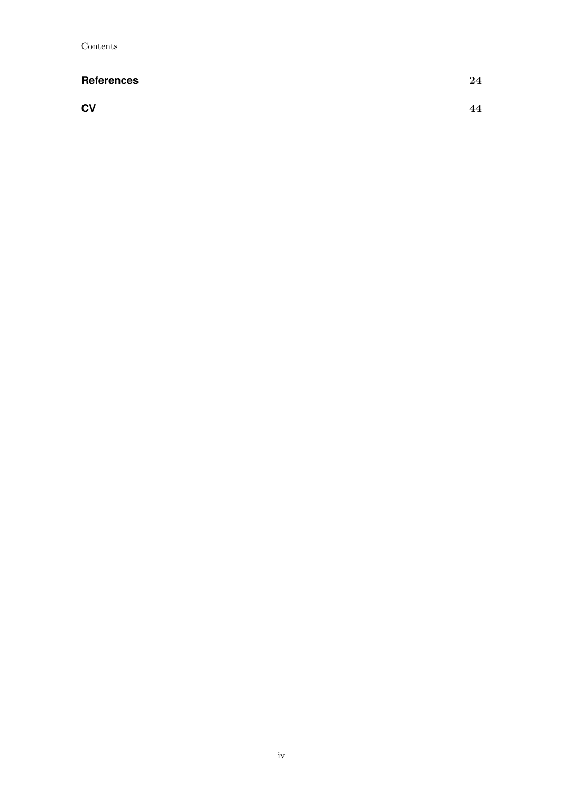#### **[References](#page-30-0)** 24

**[CV](#page-50-0)** 44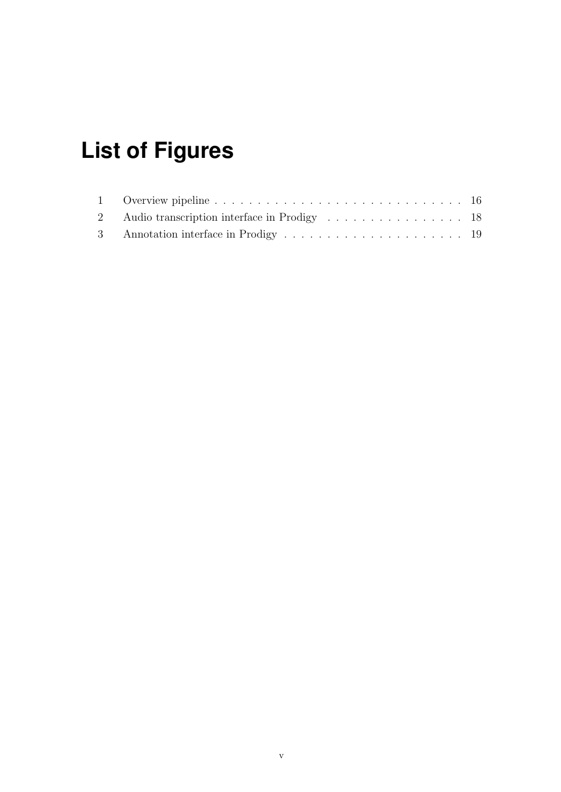# <span id="page-5-0"></span>**List of Figures**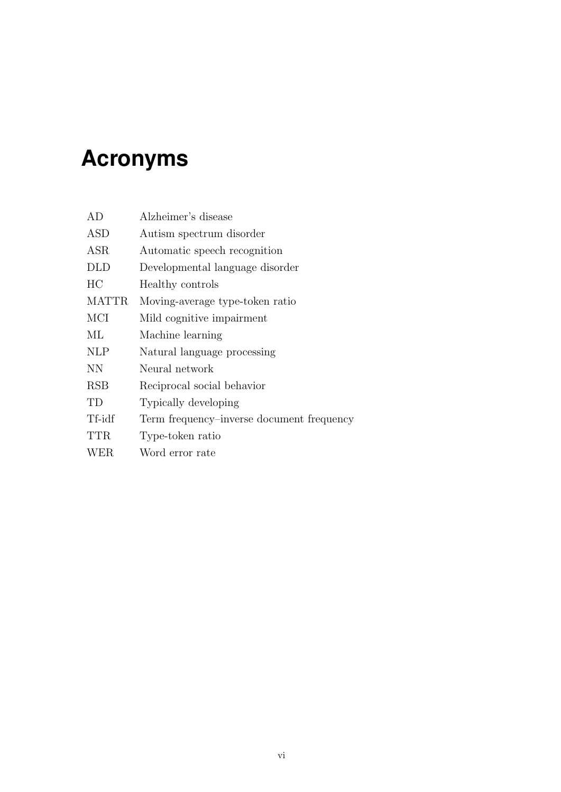# <span id="page-6-0"></span>**Acronyms**

| AD           | Alzheimer's disease                       |
|--------------|-------------------------------------------|
| ASD          | Autism spectrum disorder                  |
| ASR          | Automatic speech recognition              |
| <b>DLD</b>   | Developmental language disorder           |
| HC           | Healthy controls                          |
| <b>MATTR</b> | Moving-average type-token ratio           |
| MCI          | Mild cognitive impairment                 |
| МL           | Machine learning                          |
| <b>NLP</b>   | Natural language processing               |
| <b>NN</b>    | Neural network                            |
| <b>RSB</b>   | Reciprocal social behavior                |
| TD           | Typically developing                      |
| Tf-idf       | Term frequency-inverse document frequency |
| <b>TTR</b>   | Type-token ratio                          |
| WER          | Word error rate                           |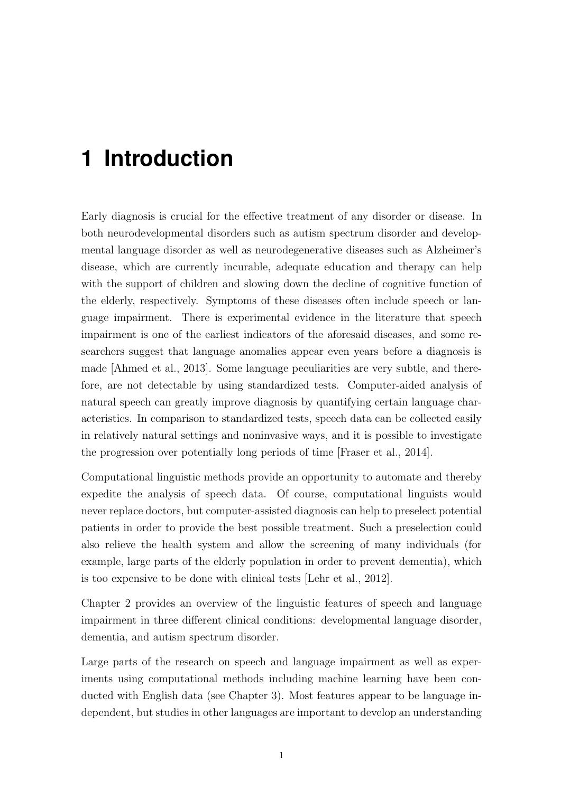# <span id="page-7-0"></span>**1 Introduction**

Early diagnosis is crucial for the effective treatment of any disorder or disease. In both neurodevelopmental disorders such as autism spectrum disorder and developmental language disorder as well as neurodegenerative diseases such as Alzheimer's disease, which are currently incurable, adequate education and therapy can help with the support of children and slowing down the decline of cognitive function of the elderly, respectively. Symptoms of these diseases often include speech or language impairment. There is experimental evidence in the literature that speech impairment is one of the earliest indicators of the aforesaid diseases, and some researchers suggest that language anomalies appear even years before a diagnosis is made [\[Ahmed et al., 2013\]](#page-30-1). Some language peculiarities are very subtle, and therefore, are not detectable by using standardized tests. Computer-aided analysis of natural speech can greatly improve diagnosis by quantifying certain language characteristics. In comparison to standardized tests, speech data can be collected easily in relatively natural settings and noninvasive ways, and it is possible to investigate the progression over potentially long periods of time [\[Fraser et al., 2014\]](#page-34-0).

Computational linguistic methods provide an opportunity to automate and thereby expedite the analysis of speech data. Of course, computational linguists would never replace doctors, but computer-assisted diagnosis can help to preselect potential patients in order to provide the best possible treatment. Such a preselection could also relieve the health system and allow the screening of many individuals (for example, large parts of the elderly population in order to prevent dementia), which is too expensive to be done with clinical tests [\[Lehr et al., 2012\]](#page-39-0).

Chapter [2](#page-9-0) provides an overview of the linguistic features of speech and language impairment in three different clinical conditions: developmental language disorder, dementia, and autism spectrum disorder.

Large parts of the research on speech and language impairment as well as experiments using computational methods including machine learning have been conducted with English data (see Chapter [3\)](#page-18-0). Most features appear to be language independent, but studies in other languages are important to develop an understanding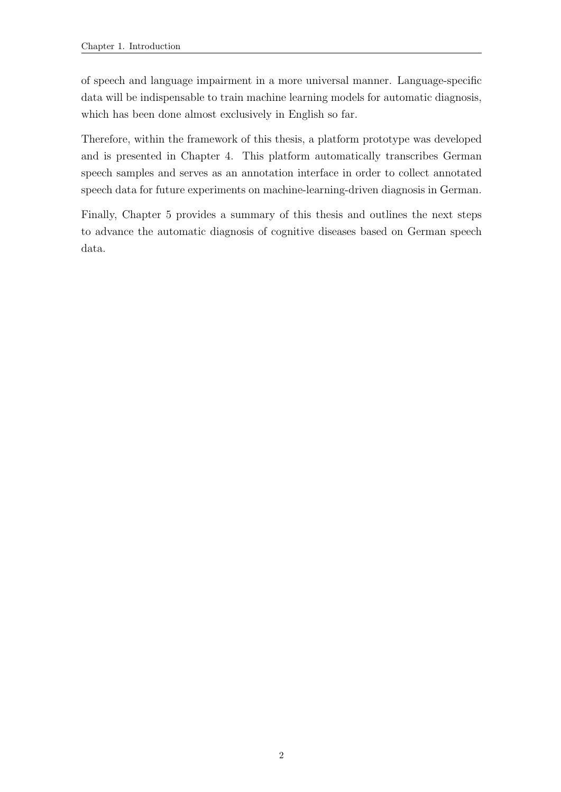of speech and language impairment in a more universal manner. Language-specific data will be indispensable to train machine learning models for automatic diagnosis, which has been done almost exclusively in English so far.

Therefore, within the framework of this thesis, a platform prototype was developed and is presented in Chapter [4.](#page-22-0) This platform automatically transcribes German speech samples and serves as an annotation interface in order to collect annotated speech data for future experiments on machine-learning-driven diagnosis in German.

Finally, Chapter [5](#page-28-0) provides a summary of this thesis and outlines the next steps to advance the automatic diagnosis of cognitive diseases based on German speech data.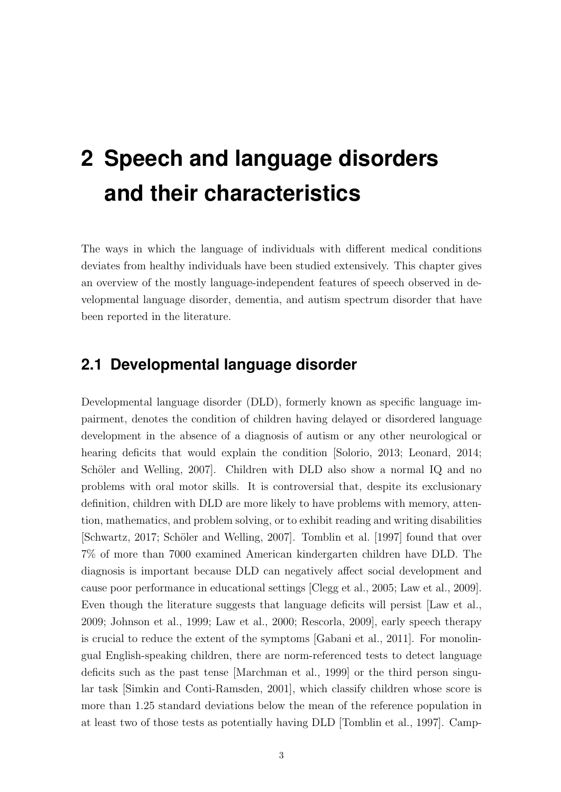# <span id="page-9-0"></span>**2 Speech and language disorders and their characteristics**

The ways in which the language of individuals with different medical conditions deviates from healthy individuals have been studied extensively. This chapter gives an overview of the mostly language-independent features of speech observed in developmental language disorder, dementia, and autism spectrum disorder that have been reported in the literature.

#### <span id="page-9-1"></span>**2.1 Developmental language disorder**

Developmental language disorder (DLD), formerly known as specific language impairment, denotes the condition of children having delayed or disordered language development in the absence of a diagnosis of autism or any other neurological or hearing deficits that would explain the condition [\[Solorio, 2013;](#page-47-0) [Leonard, 2014;](#page-39-1) Schöler and Welling, 2007. Children with DLD also show a normal IQ and no problems with oral motor skills. It is controversial that, despite its exclusionary definition, children with DLD are more likely to have problems with memory, attention, mathematics, and problem solving, or to exhibit reading and writing disabilities [\[Schwartz, 2017;](#page-47-2) Schöler and Welling, 2007]. [Tomblin et al.](#page-48-0) [\[1997\]](#page-48-0) found that over 7% of more than 7000 examined American kindergarten children have DLD. The diagnosis is important because DLD can negatively affect social development and cause poor performance in educational settings [\[Clegg et al., 2005;](#page-33-0) [Law et al., 2009\]](#page-39-2). Even though the literature suggests that language deficits will persist [\[Law et al.,](#page-39-2) [2009;](#page-39-2) [Johnson et al., 1999;](#page-37-0) [Law et al., 2000;](#page-39-3) [Rescorla, 2009\]](#page-45-0), early speech therapy is crucial to reduce the extent of the symptoms [\[Gabani et al., 2011\]](#page-35-0). For monolingual English-speaking children, there are norm-referenced tests to detect language deficits such as the past tense [\[Marchman et al., 1999\]](#page-41-0) or the third person singular task [\[Simkin and Conti-Ramsden, 2001\]](#page-47-3), which classify children whose score is more than 1.25 standard deviations below the mean of the reference population in at least two of those tests as potentially having DLD [\[Tomblin et al., 1997\]](#page-48-0). [Camp-](#page-32-0)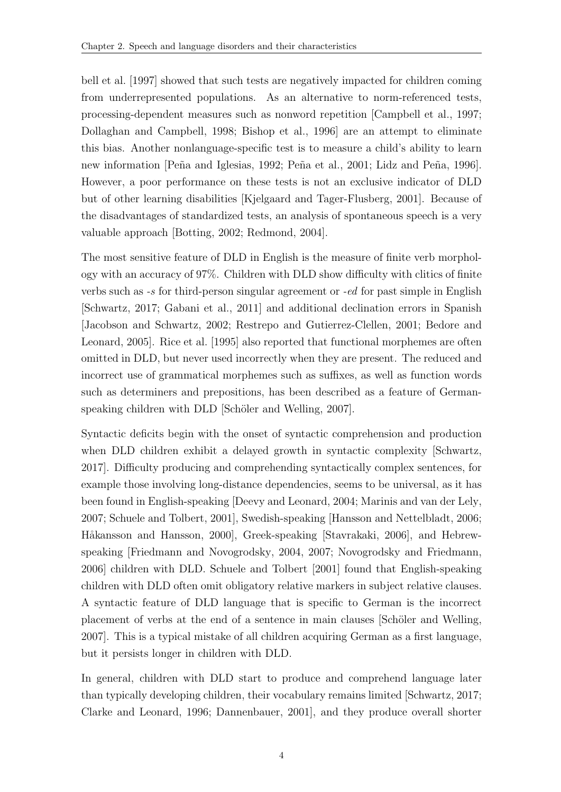[bell et al.](#page-32-0) [\[1997\]](#page-32-0) showed that such tests are negatively impacted for children coming from underrepresented populations. As an alternative to norm-referenced tests, processing-dependent measures such as nonword repetition [\[Campbell et al., 1997;](#page-32-0) [Dollaghan and Campbell, 1998;](#page-34-1) [Bishop et al., 1996\]](#page-31-0) are an attempt to eliminate this bias. Another nonlanguage-specific test is to measure a child's ability to learn new information [Peña and Iglesias, 1992; Peña et al., 2001; Lidz and Peña, 1996]. However, a poor performance on these tests is not an exclusive indicator of DLD but of other learning disabilities [\[Kjelgaard and Tager-Flusberg, 2001\]](#page-38-0). Because of the disadvantages of standardized tests, an analysis of spontaneous speech is a very valuable approach [\[Botting, 2002;](#page-32-1) [Redmond, 2004\]](#page-45-1).

The most sensitive feature of DLD in English is the measure of finite verb morphology with an accuracy of 97%. Children with DLD show difficulty with clitics of finite verbs such as -s for third-person singular agreement or -ed for past simple in English [\[Schwartz, 2017;](#page-47-2) [Gabani et al., 2011\]](#page-35-0) and additional declination errors in Spanish [\[Jacobson and Schwartz, 2002;](#page-37-1) [Restrepo and Gutierrez-Clellen, 2001;](#page-45-2) [Bedore and](#page-31-1) [Leonard, 2005\]](#page-31-1). [Rice et al.](#page-45-3) [\[1995\]](#page-45-3) also reported that functional morphemes are often omitted in DLD, but never used incorrectly when they are present. The reduced and incorrect use of grammatical morphemes such as suffixes, as well as function words such as determiners and prepositions, has been described as a feature of Germanspeaking children with DLD [Schöler and Welling, 2007].

Syntactic deficits begin with the onset of syntactic comprehension and production when DLD children exhibit a delayed growth in syntactic complexity [\[Schwartz,](#page-47-2) [2017\]](#page-47-2). Difficulty producing and comprehending syntactically complex sentences, for example those involving long-distance dependencies, seems to be universal, as it has been found in English-speaking [\[Deevy and Leonard, 2004;](#page-33-1) [Marinis and van der Lely,](#page-42-0) [2007;](#page-42-0) [Schuele and Tolbert, 2001\]](#page-47-4), Swedish-speaking [\[Hansson and Nettelbladt, 2006;](#page-36-0) Håkansson and Hansson, 2000], Greek-speaking [\[Stavrakaki, 2006\]](#page-48-1), and Hebrewspeaking [\[Friedmann and Novogrodsky, 2004,](#page-35-1) [2007;](#page-35-2) [Novogrodsky and Friedmann,](#page-44-2) [2006\]](#page-44-2) children with DLD. [Schuele and Tolbert](#page-47-4) [\[2001\]](#page-47-4) found that English-speaking children with DLD often omit obligatory relative markers in subject relative clauses. A syntactic feature of DLD language that is specific to German is the incorrect placement of verbs at the end of a sentence in main clauses Schöler and Welling, [2007\]](#page-47-1). This is a typical mistake of all children acquiring German as a first language, but it persists longer in children with DLD.

In general, children with DLD start to produce and comprehend language later than typically developing children, their vocabulary remains limited [\[Schwartz, 2017;](#page-47-2) [Clarke and Leonard, 1996;](#page-32-2) [Dannenbauer, 2001\]](#page-33-2), and they produce overall shorter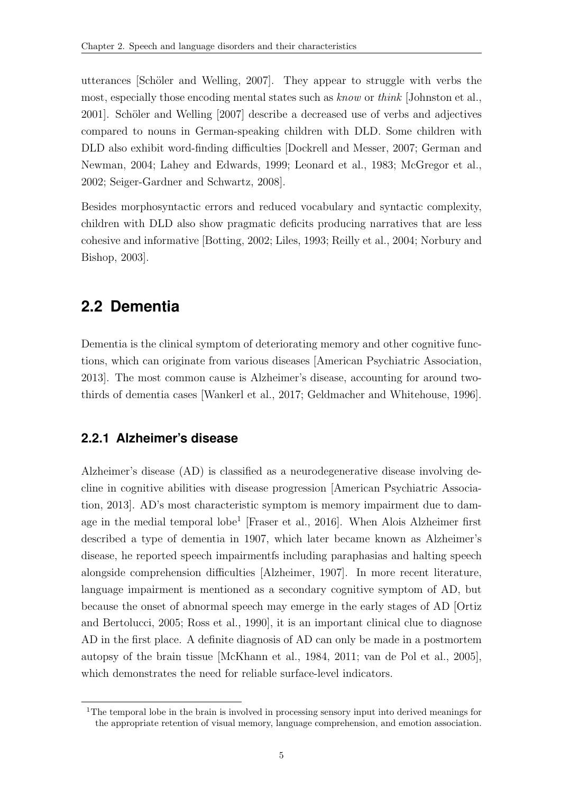utterances [Schöler and Welling,  $2007$ ]. They appear to struggle with verbs the most, especially those encoding mental states such as know or think [\[Johnston et al.,](#page-37-2) [2001\]](#page-37-2). Schöler and Welling [\[2007\]](#page-47-1) describe a decreased use of verbs and adjectives compared to nouns in German-speaking children with DLD. Some children with DLD also exhibit word-finding difficulties [\[Dockrell and Messer, 2007;](#page-34-2) [German and](#page-35-3) [Newman, 2004;](#page-35-3) [Lahey and Edwards, 1999;](#page-38-1) [Leonard et al., 1983;](#page-39-4) [McGregor et al.,](#page-42-1) [2002;](#page-42-1) [Seiger-Gardner and Schwartz, 2008\]](#page-47-5).

Besides morphosyntactic errors and reduced vocabulary and syntactic complexity, children with DLD also show pragmatic deficits producing narratives that are less cohesive and informative [\[Botting, 2002;](#page-32-1) [Liles, 1993;](#page-40-1) [Reilly et al., 2004;](#page-45-4) [Norbury and](#page-43-0) [Bishop, 2003\]](#page-43-0).

### <span id="page-11-0"></span>**2.2 Dementia**

Dementia is the clinical symptom of deteriorating memory and other cognitive functions, which can originate from various diseases [\[American Psychiatric Association,](#page-30-2) [2013\]](#page-30-2). The most common cause is Alzheimer's disease, accounting for around twothirds of dementia cases [\[Wankerl et al., 2017;](#page-49-0) [Geldmacher and Whitehouse, 1996\]](#page-35-4).

#### <span id="page-11-1"></span>**2.2.1 Alzheimer's disease**

Alzheimer's disease (AD) is classified as a neurodegenerative disease involving decline in cognitive abilities with disease progression [\[American Psychiatric Associa](#page-30-2)[tion, 2013\]](#page-30-2). AD's most characteristic symptom is memory impairment due to dam-age in the medial temporal lobe<sup>[1](#page-0-0)</sup> [\[Fraser et al., 2016\]](#page-34-3). When Alois Alzheimer first described a type of dementia in 1907, which later became known as Alzheimer's disease, he reported speech impairmentfs including paraphasias and halting speech alongside comprehension difficulties [\[Alzheimer, 1907\]](#page-30-3). In more recent literature, language impairment is mentioned as a secondary cognitive symptom of AD, but because the onset of abnormal speech may emerge in the early stages of AD [\[Ortiz](#page-44-3) [and Bertolucci, 2005;](#page-44-3) [Ross et al., 1990\]](#page-46-0), it is an important clinical clue to diagnose AD in the first place. A definite diagnosis of AD can only be made in a postmortem autopsy of the brain tissue [\[McKhann et al., 1984,](#page-42-2) [2011;](#page-42-3) [van de Pol et al., 2005\]](#page-49-1), which demonstrates the need for reliable surface-level indicators.

<sup>&</sup>lt;sup>1</sup>The temporal lobe in the brain is involved in processing sensory input into derived meanings for the appropriate retention of visual memory, language comprehension, and emotion association.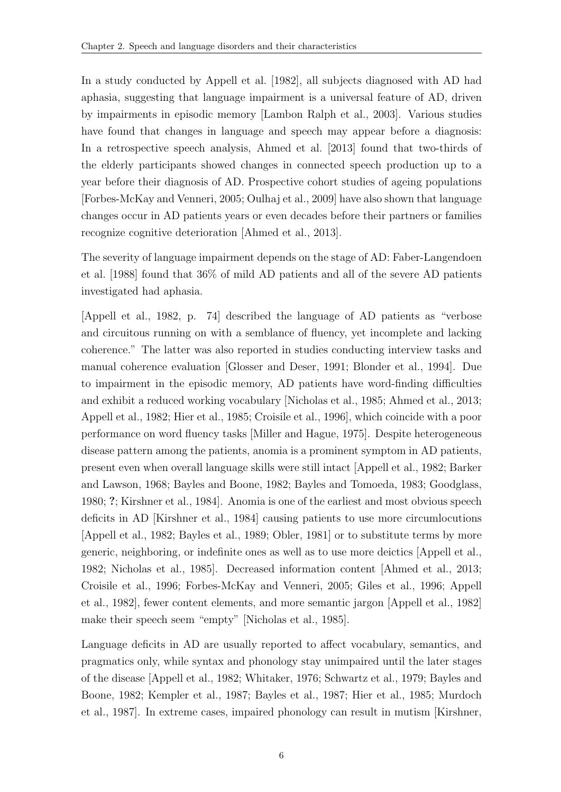In a study conducted by [Appell et al.](#page-30-4) [\[1982\]](#page-30-4), all subjects diagnosed with AD had aphasia, suggesting that language impairment is a universal feature of AD, driven by impairments in episodic memory [\[Lambon Ralph et al., 2003\]](#page-39-5). Various studies have found that changes in language and speech may appear before a diagnosis: In a retrospective speech analysis, [Ahmed et al.](#page-30-1) [\[2013\]](#page-30-1) found that two-thirds of the elderly participants showed changes in connected speech production up to a year before their diagnosis of AD. Prospective cohort studies of ageing populations [\[Forbes-McKay and Venneri, 2005;](#page-34-4) [Oulhaj et al., 2009\]](#page-44-4) have also shown that language changes occur in AD patients years or even decades before their partners or families recognize cognitive deterioration [\[Ahmed et al., 2013\]](#page-30-1).

The severity of language impairment depends on the stage of AD: [Faber-Langendoen](#page-34-5) [et al.](#page-34-5) [\[1988\]](#page-34-5) found that 36% of mild AD patients and all of the severe AD patients investigated had aphasia.

[\[Appell et al., 1982,](#page-30-4) p. 74] described the language of AD patients as "verbose and circuitous running on with a semblance of fluency, yet incomplete and lacking coherence." The latter was also reported in studies conducting interview tasks and manual coherence evaluation [\[Glosser and Deser, 1991;](#page-35-5) [Blonder et al., 1994\]](#page-31-2). Due to impairment in the episodic memory, AD patients have word-finding difficulties and exhibit a reduced working vocabulary [\[Nicholas et al., 1985;](#page-43-1) [Ahmed et al., 2013;](#page-30-1) [Appell et al., 1982;](#page-30-4) [Hier et al., 1985;](#page-36-2) [Croisile et al., 1996\]](#page-33-3), which coincide with a poor performance on word fluency tasks [\[Miller and Hague, 1975\]](#page-42-4). Despite heterogeneous disease pattern among the patients, anomia is a prominent symptom in AD patients, present even when overall language skills were still intact [\[Appell et al., 1982;](#page-30-4) [Barker](#page-30-5) [and Lawson, 1968;](#page-30-5) [Bayles and Boone, 1982;](#page-31-3) [Bayles and Tomoeda, 1983;](#page-31-4) [Goodglass,](#page-36-3) [1980;](#page-36-3) ?; [Kirshner et al., 1984\]](#page-38-2). Anomia is one of the earliest and most obvious speech deficits in AD [\[Kirshner et al., 1984\]](#page-38-2) causing patients to use more circumlocutions [\[Appell et al., 1982;](#page-30-4) [Bayles et al., 1989;](#page-31-5) [Obler, 1981\]](#page-44-5) or to substitute terms by more generic, neighboring, or indefinite ones as well as to use more deictics [\[Appell et al.,](#page-30-4) [1982;](#page-30-4) [Nicholas et al., 1985\]](#page-43-1). Decreased information content [\[Ahmed et al., 2013;](#page-30-1) [Croisile et al., 1996;](#page-33-3) [Forbes-McKay and Venneri, 2005;](#page-34-4) [Giles et al., 1996;](#page-35-6) [Appell](#page-30-4) [et al., 1982\]](#page-30-4), fewer content elements, and more semantic jargon [\[Appell et al., 1982\]](#page-30-4) make their speech seem "empty" [\[Nicholas et al., 1985\]](#page-43-1).

Language deficits in AD are usually reported to affect vocabulary, semantics, and pragmatics only, while syntax and phonology stay unimpaired until the later stages of the disease [\[Appell et al., 1982;](#page-30-4) [Whitaker, 1976;](#page-49-2) [Schwartz et al., 1979;](#page-47-6) [Bayles and](#page-31-3) [Boone, 1982;](#page-31-3) [Kempler et al., 1987;](#page-38-3) [Bayles et al., 1987;](#page-31-6) [Hier et al., 1985;](#page-36-2) [Murdoch](#page-43-2) [et al., 1987\]](#page-43-2). In extreme cases, impaired phonology can result in mutism [\[Kirshner,](#page-38-4)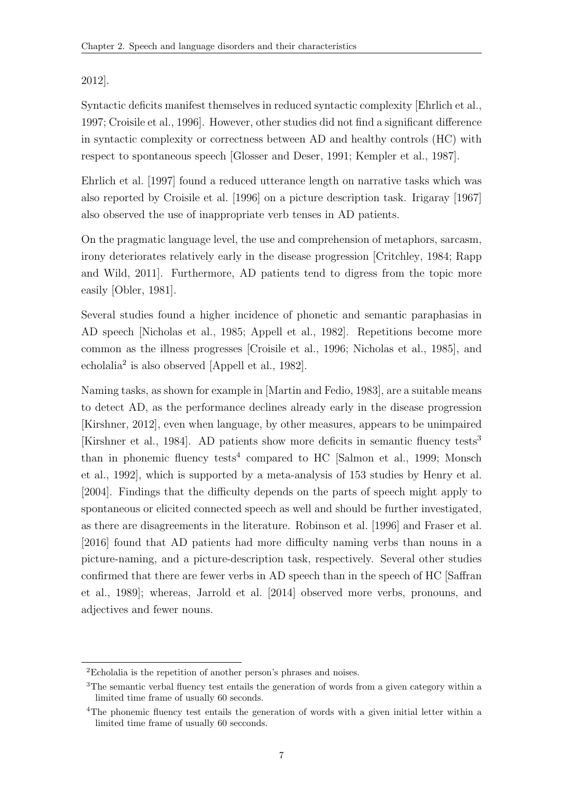[2012\]](#page-38-4).

Syntactic deficits manifest themselves in reduced syntactic complexity [\[Ehrlich et al.,](#page-34-6) [1997;](#page-34-6) [Croisile et al., 1996\]](#page-33-3). However, other studies did not find a significant difference in syntactic complexity or correctness between AD and healthy controls (HC) with respect to spontaneous speech [\[Glosser and Deser, 1991;](#page-35-5) [Kempler et al., 1987\]](#page-38-3).

[Ehrlich et al.](#page-34-6) [\[1997\]](#page-34-6) found a reduced utterance length on narrative tasks which was also reported by [Croisile et al.](#page-33-3) [\[1996\]](#page-33-3) on a picture description task. [Irigaray](#page-37-3) [\[1967\]](#page-37-3) also observed the use of inappropriate verb tenses in AD patients.

On the pragmatic language level, the use and comprehension of metaphors, sarcasm, irony deteriorates relatively early in the disease progression [\[Critchley, 1984;](#page-33-4) [Rapp](#page-45-5) [and Wild, 2011\]](#page-45-5). Furthermore, AD patients tend to digress from the topic more easily [\[Obler, 1981\]](#page-44-5).

Several studies found a higher incidence of phonetic and semantic paraphasias in AD speech [\[Nicholas et al., 1985;](#page-43-1) [Appell et al., 1982\]](#page-30-4). Repetitions become more common as the illness progresses [\[Croisile et al., 1996;](#page-33-3) [Nicholas et al., 1985\]](#page-43-1), and echolalia[2](#page-0-0) is also observed [\[Appell et al., 1982\]](#page-30-4).

Naming tasks, as shown for example in [\[Martin and Fedio, 1983\]](#page-42-5), are a suitable means to detect AD, as the performance declines already early in the disease progression [\[Kirshner, 2012\]](#page-38-4), even when language, by other measures, appears to be unimpaired [\[Kirshner et al., 1984\]](#page-38-2). AD patients show more deficits in semantic fluency tests[3](#page-0-0) than in phonemic fluency tests<sup>[4](#page-0-0)</sup> compared to HC [\[Salmon et al., 1999;](#page-47-7) [Monsch](#page-43-3) [et al., 1992\]](#page-43-3), which is supported by a meta-analysis of 153 studies by [Henry et al.](#page-36-4) [\[2004\]](#page-36-4). Findings that the difficulty depends on the parts of speech might apply to spontaneous or elicited connected speech as well and should be further investigated, as there are disagreements in the literature. [Robinson et al.](#page-46-1) [\[1996\]](#page-46-1) and [Fraser et al.](#page-34-3) [\[2016\]](#page-34-3) found that AD patients had more difficulty naming verbs than nouns in a picture-naming, and a picture-description task, respectively. Several other studies confirmed that there are fewer verbs in AD speech than in the speech of HC [\[Saffran](#page-46-2) [et al., 1989\]](#page-46-2); whereas, [Jarrold et al.](#page-37-4) [\[2014\]](#page-37-4) observed more verbs, pronouns, and adjectives and fewer nouns.

<sup>2</sup>Echolalia is the repetition of another person's phrases and noises.

<sup>&</sup>lt;sup>3</sup>The semantic verbal fluency test entails the generation of words from a given category within a limited time frame of usually 60 seconds.

<sup>&</sup>lt;sup>4</sup>The phonemic fluency test entails the generation of words with a given initial letter within a limited time frame of usually 60 secconds.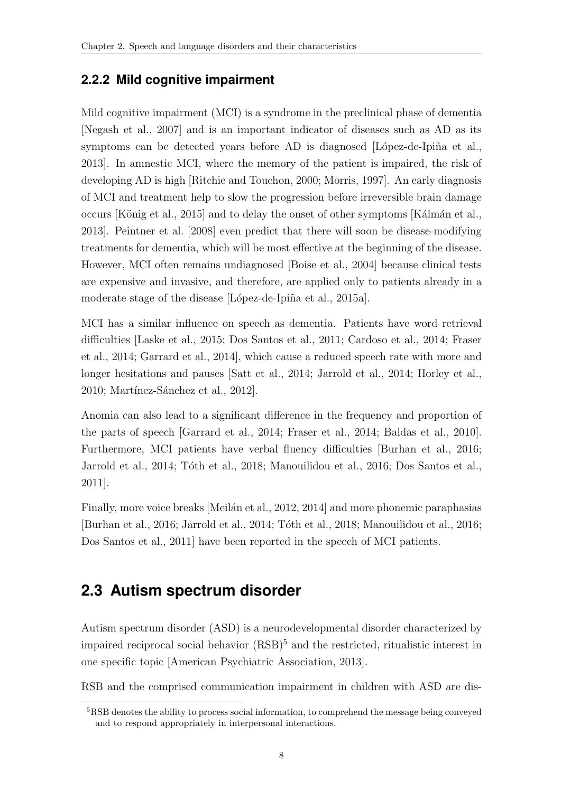#### <span id="page-14-0"></span>**2.2.2 Mild cognitive impairment**

Mild cognitive impairment (MCI) is a syndrome in the preclinical phase of dementia [\[Negash et al., 2007\]](#page-43-4) and is an important indicator of diseases such as AD as its symptoms can be detected years before  $AD$  is diagnosed  $[Lopez-de-Ipiña et al.,]$ [2013\]](#page-40-2). In amnestic MCI, where the memory of the patient is impaired, the risk of developing AD is high [\[Ritchie and Touchon, 2000;](#page-46-3) [Morris, 1997\]](#page-43-5). An early diagnosis of MCI and treatment help to slow the progression before irreversible brain damage occurs [König et al., 2015] and to delay the onset of other symptoms [Kálmán et al., [2013\]](#page-37-5). [Peintner et al.](#page-44-6) [\[2008\]](#page-44-6) even predict that there will soon be disease-modifying treatments for dementia, which will be most effective at the beginning of the disease. However, MCI often remains undiagnosed [\[Boise et al., 2004\]](#page-32-3) because clinical tests are expensive and invasive, and therefore, are applied only to patients already in a moderate stage of the disease [López-de-Ipiña et al., 2015a].

MCI has a similar influence on speech as dementia. Patients have word retrieval difficulties [\[Laske et al., 2015;](#page-39-6) [Dos Santos et al., 2011;](#page-34-7) [Cardoso et al., 2014;](#page-32-4) [Fraser](#page-34-0) [et al., 2014;](#page-34-0) [Garrard et al., 2014\]](#page-35-7), which cause a reduced speech rate with more and longer hesitations and pauses [\[Satt et al., 2014;](#page-47-8) [Jarrold et al., 2014;](#page-37-4) [Horley et al.,](#page-37-6) [2010;](#page-37-6) Martínez-Sánchez et al., 2012].

Anomia can also lead to a significant difference in the frequency and proportion of the parts of speech [\[Garrard et al., 2014;](#page-35-7) [Fraser et al., 2014;](#page-34-0) [Baldas et al., 2010\]](#page-30-6). Furthermore, MCI patients have verbal fluency difficulties [\[Burhan et al., 2016;](#page-32-5) [Jarrold et al., 2014;](#page-37-4) Tóth et al., 2018; [Manouilidou et al., 2016;](#page-41-1) [Dos Santos et al.,](#page-34-7) [2011\]](#page-34-7).

Finally, more voice breaks [Meilán et al., 2012, [2014\]](#page-42-8) and more phonemic paraphasias [\[Burhan et al., 2016;](#page-32-5) [Jarrold et al., 2014;](#page-37-4) Tóth et al., 2018; [Manouilidou et al., 2016;](#page-41-1) [Dos Santos et al., 2011\]](#page-34-7) have been reported in the speech of MCI patients.

## <span id="page-14-1"></span>**2.3 Autism spectrum disorder**

Autism spectrum disorder (ASD) is a neurodevelopmental disorder characterized by impaired reciprocal social behavior  $(RSB)^5$  $(RSB)^5$  and the restricted, ritualistic interest in one specific topic [\[American Psychiatric Association, 2013\]](#page-30-2).

RSB and the comprised communication impairment in children with ASD are dis-

<sup>5</sup>RSB denotes the ability to process social information, to comprehend the message being conveyed and to respond appropriately in interpersonal interactions.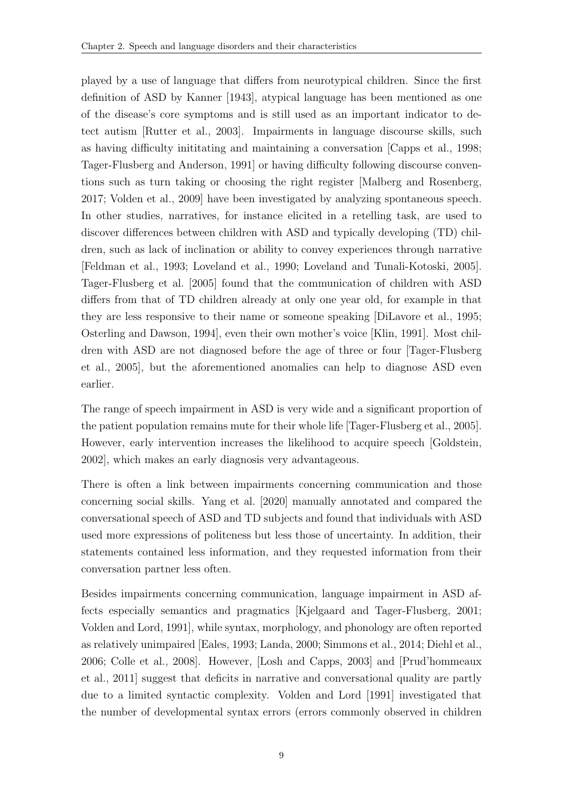played by a use of language that differs from neurotypical children. Since the first definition of ASD by [Kanner](#page-37-7) [\[1943\]](#page-37-7), atypical language has been mentioned as one of the disease's core symptoms and is still used as an important indicator to detect autism [\[Rutter et al., 2003\]](#page-46-4). Impairments in language discourse skills, such as having difficulty inititating and maintaining a conversation [\[Capps et al., 1998;](#page-32-6) [Tager-Flusberg and Anderson, 1991\]](#page-48-2) or having difficulty following discourse conventions such as turn taking or choosing the right register [\[Malberg and Rosenberg,](#page-41-2) [2017;](#page-41-2) [Volden et al., 2009\]](#page-49-4) have been investigated by analyzing spontaneous speech. In other studies, narratives, for instance elicited in a retelling task, are used to discover differences between children with ASD and typically developing (TD) children, such as lack of inclination or ability to convey experiences through narrative [\[Feldman et al., 1993;](#page-34-8) [Loveland et al., 1990;](#page-41-3) [Loveland and Tunali-Kotoski, 2005\]](#page-41-4). [Tager-Flusberg et al.](#page-48-3) [\[2005\]](#page-48-3) found that the communication of children with ASD differs from that of TD children already at only one year old, for example in that they are less responsive to their name or someone speaking [\[DiLavore et al., 1995;](#page-33-5) [Osterling and Dawson, 1994\]](#page-44-7), even their own mother's voice [\[Klin, 1991\]](#page-38-6). Most children with ASD are not diagnosed before the age of three or four [\[Tager-Flusberg](#page-48-3) [et al., 2005\]](#page-48-3), but the aforementioned anomalies can help to diagnose ASD even earlier.

The range of speech impairment in ASD is very wide and a significant proportion of the patient population remains mute for their whole life [\[Tager-Flusberg et al., 2005\]](#page-48-3). However, early intervention increases the likelihood to acquire speech [\[Goldstein,](#page-36-5) [2002\]](#page-36-5), which makes an early diagnosis very advantageous.

There is often a link between impairments concerning communication and those concerning social skills. [Yang et al.](#page-49-5) [\[2020\]](#page-49-5) manually annotated and compared the conversational speech of ASD and TD subjects and found that individuals with ASD used more expressions of politeness but less those of uncertainty. In addition, their statements contained less information, and they requested information from their conversation partner less often.

Besides impairments concerning communication, language impairment in ASD affects especially semantics and pragmatics [\[Kjelgaard and Tager-Flusberg, 2001;](#page-38-0) [Volden and Lord, 1991\]](#page-49-6), while syntax, morphology, and phonology are often reported as relatively unimpaired [\[Eales, 1993;](#page-34-9) [Landa, 2000;](#page-39-7) [Simmons et al., 2014;](#page-47-9) [Diehl et al.,](#page-33-6) [2006;](#page-33-6) [Colle et al., 2008\]](#page-33-7). However, [\[Losh and Capps, 2003\]](#page-41-5) and [\[Prud'hommeaux](#page-45-6) [et al., 2011\]](#page-45-6) suggest that deficits in narrative and conversational quality are partly due to a limited syntactic complexity. [Volden and Lord](#page-49-6) [\[1991\]](#page-49-6) investigated that the number of developmental syntax errors (errors commonly observed in children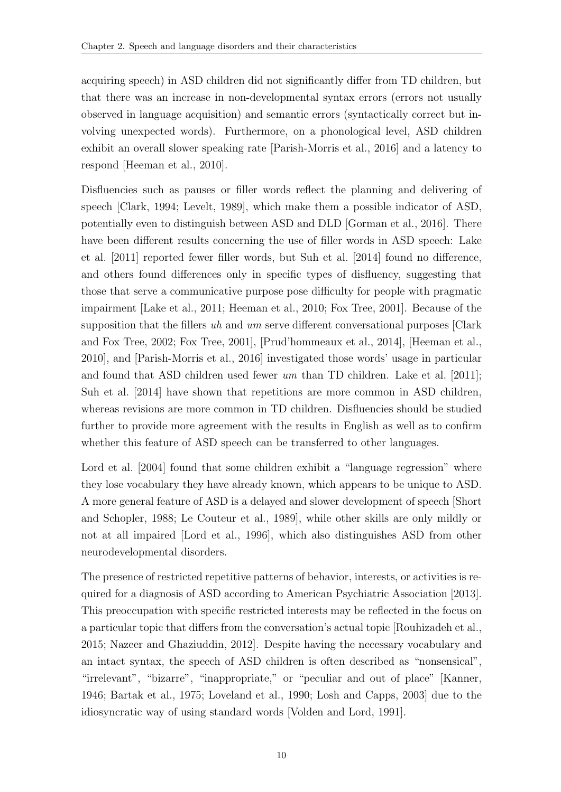acquiring speech) in ASD children did not significantly differ from TD children, but that there was an increase in non-developmental syntax errors (errors not usually observed in language acquisition) and semantic errors (syntactically correct but involving unexpected words). Furthermore, on a phonological level, ASD children exhibit an overall slower speaking rate [\[Parish-Morris et al., 2016\]](#page-44-8) and a latency to respond [\[Heeman et al., 2010\]](#page-36-6).

Disfluencies such as pauses or filler words reflect the planning and delivering of speech [\[Clark, 1994;](#page-32-7) [Levelt, 1989\]](#page-40-4), which make them a possible indicator of ASD, potentially even to distinguish between ASD and DLD [\[Gorman et al., 2016\]](#page-36-7). There have been different results concerning the use of filler words in ASD speech: [Lake](#page-38-7) [et al.](#page-38-7) [\[2011\]](#page-38-7) reported fewer filler words, but [Suh et al.](#page-48-4) [\[2014\]](#page-48-4) found no difference, and others found differences only in specific types of disfluency, suggesting that those that serve a communicative purpose pose difficulty for people with pragmatic impairment [\[Lake et al., 2011;](#page-38-7) [Heeman et al., 2010;](#page-36-6) [Fox Tree, 2001\]](#page-34-10). Because of the supposition that the fillers uh and um serve different conversational purposes [\[Clark](#page-32-8)] [and Fox Tree, 2002;](#page-32-8) [Fox Tree, 2001\]](#page-34-10), [\[Prud'hommeaux et al., 2014\]](#page-45-7), [\[Heeman et al.,](#page-36-6) [2010\]](#page-36-6), and [\[Parish-Morris et al., 2016\]](#page-44-8) investigated those words' usage in particular and found that ASD children used fewer um than TD children. [Lake et al.](#page-38-7) [\[2011\]](#page-38-7); [Suh et al.](#page-48-4) [\[2014\]](#page-48-4) have shown that repetitions are more common in ASD children, whereas revisions are more common in TD children. Disfluencies should be studied further to provide more agreement with the results in English as well as to confirm whether this feature of ASD speech can be transferred to other languages.

[Lord et al.](#page-41-6) [\[2004\]](#page-41-6) found that some children exhibit a "language regression" where they lose vocabulary they have already known, which appears to be unique to ASD. A more general feature of ASD is a delayed and slower development of speech [\[Short](#page-47-10) [and Schopler, 1988;](#page-47-10) [Le Couteur et al., 1989\]](#page-39-8), while other skills are only mildly or not at all impaired [\[Lord et al., 1996\]](#page-40-5), which also distinguishes ASD from other neurodevelopmental disorders.

The presence of restricted repetitive patterns of behavior, interests, or activities is required for a diagnosis of ASD according to [American Psychiatric Association](#page-30-2) [\[2013\]](#page-30-2). This preoccupation with specific restricted interests may be reflected in the focus on a particular topic that differs from the conversation's actual topic [\[Rouhizadeh et al.,](#page-46-5) [2015;](#page-46-5) [Nazeer and Ghaziuddin, 2012\]](#page-43-6). Despite having the necessary vocabulary and an intact syntax, the speech of ASD children is often described as "nonsensical", "irrelevant", "bizarre", "inappropriate," or "peculiar and out of place" [\[Kanner,](#page-38-8) [1946;](#page-38-8) [Bartak et al., 1975;](#page-31-7) [Loveland et al., 1990;](#page-41-3) [Losh and Capps, 2003\]](#page-41-5) due to the idiosyncratic way of using standard words [\[Volden and Lord, 1991\]](#page-49-6).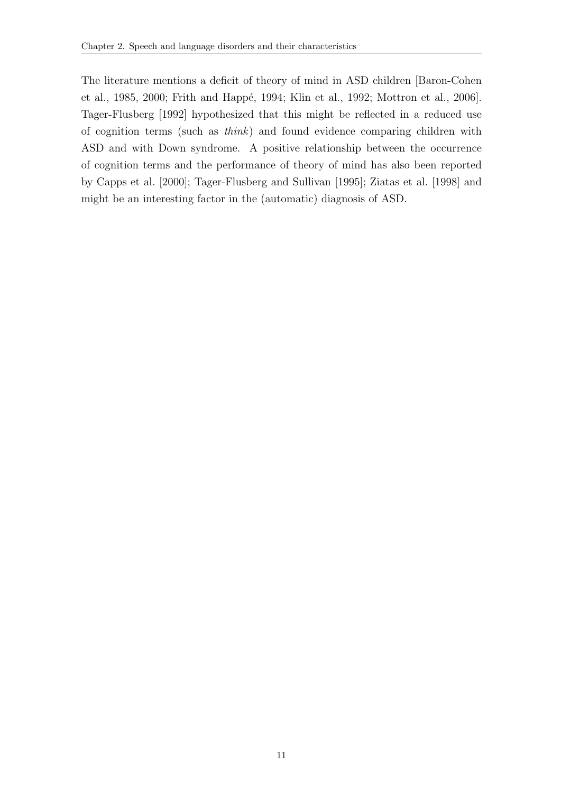The literature mentions a deficit of theory of mind in ASD children [\[Baron-Cohen](#page-30-7) [et al., 1985,](#page-30-7) [2000;](#page-30-8) Frith and Happé, 1994; [Klin et al., 1992;](#page-38-9) [Mottron et al., 2006\]](#page-43-7). [Tager-Flusberg](#page-48-5) [\[1992\]](#page-48-5) hypothesized that this might be reflected in a reduced use of cognition terms (such as think) and found evidence comparing children with ASD and with Down syndrome. A positive relationship between the occurrence of cognition terms and the performance of theory of mind has also been reported by [Capps et al.](#page-32-9) [\[2000\]](#page-32-9); [Tager-Flusberg and Sullivan](#page-48-6) [\[1995\]](#page-48-6); [Ziatas et al.](#page-49-7) [\[1998\]](#page-49-7) and might be an interesting factor in the (automatic) diagnosis of ASD.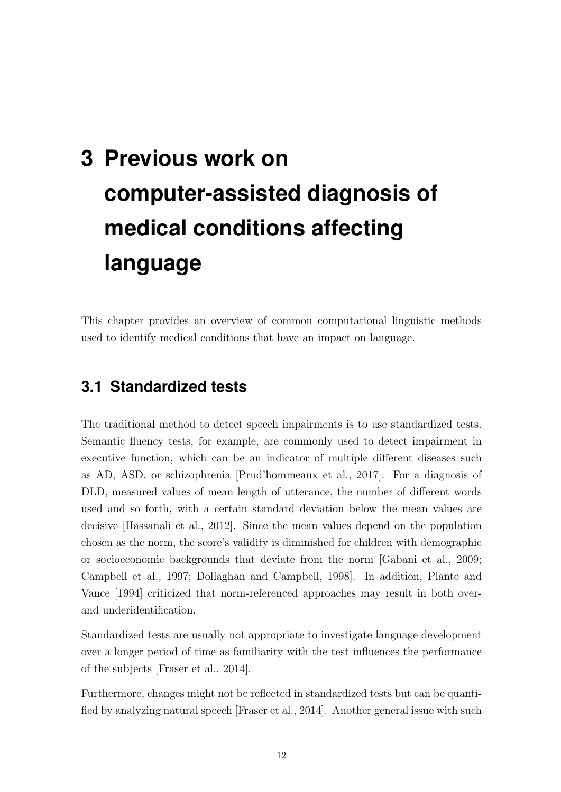# <span id="page-18-0"></span>**3 Previous work on computer-assisted diagnosis of medical conditions affecting language**

This chapter provides an overview of common computational linguistic methods used to identify medical conditions that have an impact on language.

### <span id="page-18-1"></span>**3.1 Standardized tests**

The traditional method to detect speech impairments is to use standardized tests. Semantic fluency tests, for example, are commonly used to detect impairment in executive function, which can be an indicator of multiple different diseases such as AD, ASD, or schizophrenia [\[Prud'hommeaux et al., 2017\]](#page-45-8). For a diagnosis of DLD, measured values of mean length of utterance, the number of different words used and so forth, with a certain standard deviation below the mean values are decisive [\[Hassanali et al., 2012\]](#page-36-8). Since the mean values depend on the population chosen as the norm, the score's validity is diminished for children with demographic or socioeconomic backgrounds that deviate from the norm [\[Gabani et al., 2009;](#page-35-9) [Campbell et al., 1997;](#page-32-0) [Dollaghan and Campbell, 1998\]](#page-34-1). In addition, [Plante and](#page-44-9) [Vance](#page-44-9) [\[1994\]](#page-44-9) criticized that norm-referenced approaches may result in both overand underidentification.

Standardized tests are usually not appropriate to investigate language development over a longer period of time as familiarity with the test influences the performance of the subjects [\[Fraser et al., 2014\]](#page-34-0).

Furthermore, changes might not be reflected in standardized tests but can be quantified by analyzing natural speech [\[Fraser et al., 2014\]](#page-34-0). Another general issue with such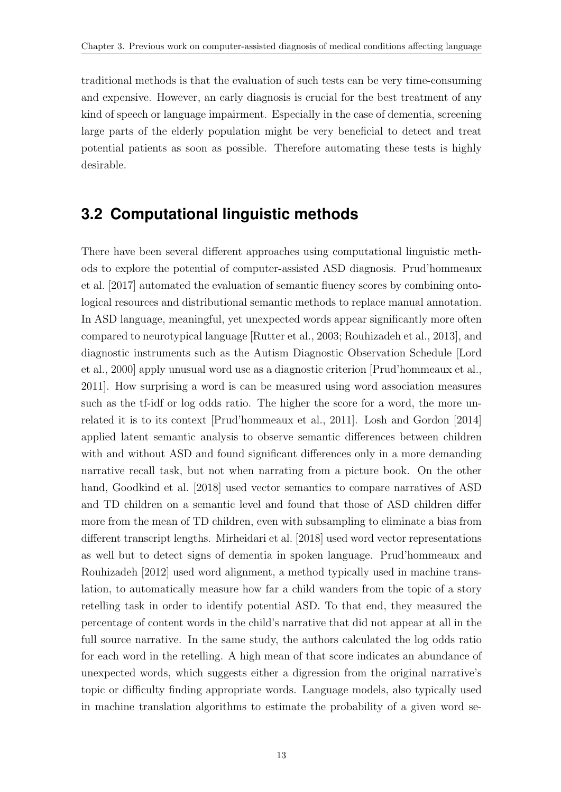traditional methods is that the evaluation of such tests can be very time-consuming and expensive. However, an early diagnosis is crucial for the best treatment of any kind of speech or language impairment. Especially in the case of dementia, screening large parts of the elderly population might be very beneficial to detect and treat potential patients as soon as possible. Therefore automating these tests is highly desirable.

### <span id="page-19-0"></span>**3.2 Computational linguistic methods**

There have been several different approaches using computational linguistic methods to explore the potential of computer-assisted ASD diagnosis. [Prud'hommeaux](#page-45-8) [et al.](#page-45-8) [\[2017\]](#page-45-8) automated the evaluation of semantic fluency scores by combining ontological resources and distributional semantic methods to replace manual annotation. In ASD language, meaningful, yet unexpected words appear significantly more often compared to neurotypical language [\[Rutter et al., 2003;](#page-46-4) [Rouhizadeh et al., 2013\]](#page-46-6), and diagnostic instruments such as the Autism Diagnostic Observation Schedule [\[Lord](#page-41-7) [et al., 2000\]](#page-41-7) apply unusual word use as a diagnostic criterion [\[Prud'hommeaux et al.,](#page-45-6) [2011\]](#page-45-6). How surprising a word is can be measured using word association measures such as the tf-idf or log odds ratio. The higher the score for a word, the more unrelated it is to its context [\[Prud'hommeaux et al., 2011\]](#page-45-6). [Losh and Gordon](#page-41-8) [\[2014\]](#page-41-8) applied latent semantic analysis to observe semantic differences between children with and without ASD and found significant differences only in a more demanding narrative recall task, but not when narrating from a picture book. On the other hand, [Goodkind et al.](#page-36-9) [\[2018\]](#page-36-9) used vector semantics to compare narratives of ASD and TD children on a semantic level and found that those of ASD children differ more from the mean of TD children, even with subsampling to eliminate a bias from different transcript lengths. [Mirheidari et al.](#page-43-8) [\[2018\]](#page-43-8) used word vector representations as well but to detect signs of dementia in spoken language. [Prud'hommeaux and](#page-45-9) [Rouhizadeh](#page-45-9) [\[2012\]](#page-45-9) used word alignment, a method typically used in machine translation, to automatically measure how far a child wanders from the topic of a story retelling task in order to identify potential ASD. To that end, they measured the percentage of content words in the child's narrative that did not appear at all in the full source narrative. In the same study, the authors calculated the log odds ratio for each word in the retelling. A high mean of that score indicates an abundance of unexpected words, which suggests either a digression from the original narrative's topic or difficulty finding appropriate words. Language models, also typically used in machine translation algorithms to estimate the probability of a given word se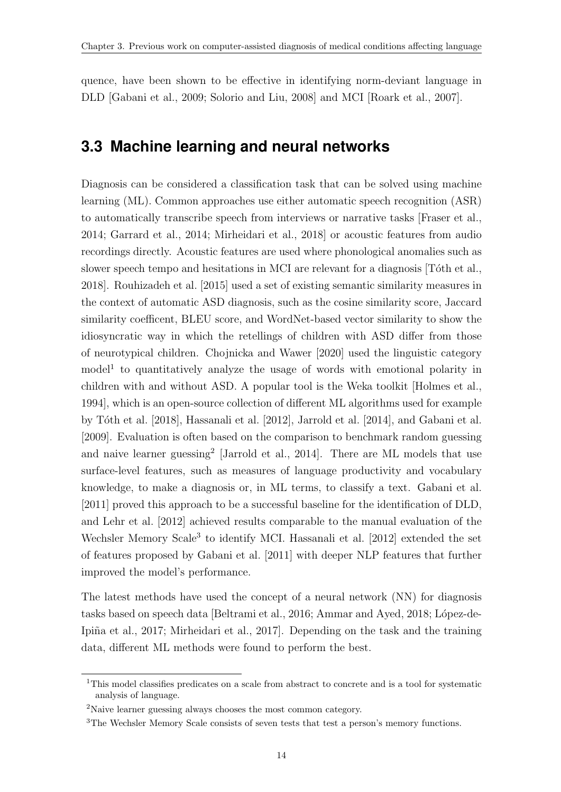quence, have been shown to be effective in identifying norm-deviant language in DLD [\[Gabani et al., 2009;](#page-35-9) [Solorio and Liu, 2008\]](#page-48-7) and MCI [\[Roark et al., 2007\]](#page-46-7).

### <span id="page-20-0"></span>**3.3 Machine learning and neural networks**

Diagnosis can be considered a classification task that can be solved using machine learning (ML). Common approaches use either automatic speech recognition (ASR) to automatically transcribe speech from interviews or narrative tasks [\[Fraser et al.,](#page-34-0) [2014;](#page-34-0) [Garrard et al., 2014;](#page-35-7) [Mirheidari et al., 2018\]](#page-43-8) or acoustic features from audio recordings directly. Acoustic features are used where phonological anomalies such as slower speech tempo and hesitations in MCI are relevant for a diagnosis [Toth et al., [2018\]](#page-49-3). [Rouhizadeh et al.](#page-46-5) [\[2015\]](#page-46-5) used a set of existing semantic similarity measures in the context of automatic ASD diagnosis, such as the cosine similarity score, Jaccard similarity coefficent, BLEU score, and WordNet-based vector similarity to show the idiosyncratic way in which the retellings of children with ASD differ from those of neurotypical children. [Chojnicka and Wawer](#page-32-10) [\[2020\]](#page-32-10) used the linguistic category model<sup>[1](#page-0-0)</sup> to quantitatively analyze the usage of words with emotional polarity in children with and without ASD. A popular tool is the Weka toolkit [\[Holmes et al.,](#page-37-8) [1994\]](#page-37-8), which is an open-source collection of different ML algorithms used for example by Tóth et al. [\[2018\]](#page-49-3), [Hassanali et al.](#page-36-8) [\[2012\]](#page-36-8), [Jarrold et al.](#page-37-4) [\[2014\]](#page-37-4), and [Gabani et al.](#page-35-9) [\[2009\]](#page-35-9). Evaluation is often based on the comparison to benchmark random guessing and naive learner guessing<sup>[2](#page-0-0)</sup> [\[Jarrold et al., 2014\]](#page-37-4). There are ML models that use surface-level features, such as measures of language productivity and vocabulary knowledge, to make a diagnosis or, in ML terms, to classify a text. [Gabani et al.](#page-35-0) [\[2011\]](#page-35-0) proved this approach to be a successful baseline for the identification of DLD, and [Lehr et al.](#page-39-0) [\[2012\]](#page-39-0) achieved results comparable to the manual evaluation of the Wechsler Memory Scale<sup>[3](#page-0-0)</sup> to identify MCI. [Hassanali et al.](#page-36-8) [\[2012\]](#page-36-8) extended the set of features proposed by [Gabani et al.](#page-35-0) [\[2011\]](#page-35-0) with deeper NLP features that further improved the model's performance.

The latest methods have used the concept of a neural network (NN) for diagnosis tasks based on speech data [\[Beltrami et al., 2016;](#page-31-8) [Ammar and Ayed, 2018;](#page-30-9) López-de-Ipiña et al., 2017; Mirheidari et al., 2017. Depending on the task and the training data, different ML methods were found to perform the best.

<sup>&</sup>lt;sup>1</sup>This model classifies predicates on a scale from abstract to concrete and is a tool for systematic analysis of language.

<sup>2</sup>Naive learner guessing always chooses the most common category.

<sup>&</sup>lt;sup>3</sup>The Wechsler Memory Scale consists of seven tests that test a person's memory functions.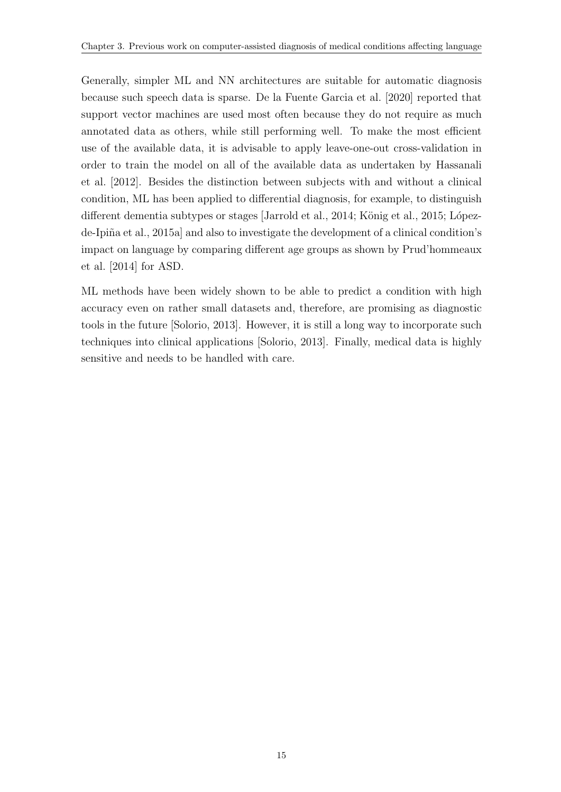Generally, simpler ML and NN architectures are suitable for automatic diagnosis because such speech data is sparse. [De la Fuente Garcia et al.](#page-33-8) [\[2020\]](#page-33-8) reported that support vector machines are used most often because they do not require as much annotated data as others, while still performing well. To make the most efficient use of the available data, it is advisable to apply leave-one-out cross-validation in order to train the model on all of the available data as undertaken by [Hassanali](#page-36-8) [et al.](#page-36-8) [\[2012\]](#page-36-8). Besides the distinction between subjects with and without a clinical condition, ML has been applied to differential diagnosis, for example, to distinguish different dementia subtypes or stages [\[Jarrold et al., 2014;](#page-37-4) König et al., 2015; Lópezde-Ipiña et al., 2015a] and also to investigate the development of a clinical condition's impact on language by comparing different age groups as shown by [Prud'hommeaux](#page-45-7) [et al.](#page-45-7) [\[2014\]](#page-45-7) for ASD.

ML methods have been widely shown to be able to predict a condition with high accuracy even on rather small datasets and, therefore, are promising as diagnostic tools in the future [\[Solorio, 2013\]](#page-47-0). However, it is still a long way to incorporate such techniques into clinical applications [\[Solorio, 2013\]](#page-47-0). Finally, medical data is highly sensitive and needs to be handled with care.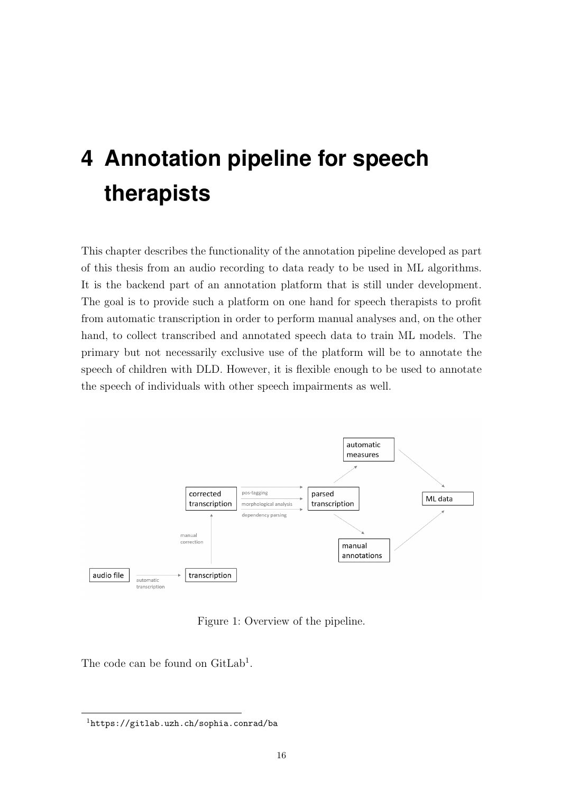# <span id="page-22-0"></span>**4 Annotation pipeline for speech therapists**

This chapter describes the functionality of the annotation pipeline developed as part of this thesis from an audio recording to data ready to be used in ML algorithms. It is the backend part of an annotation platform that is still under development. The goal is to provide such a platform on one hand for speech therapists to profit from automatic transcription in order to perform manual analyses and, on the other hand, to collect transcribed and annotated speech data to train ML models. The primary but not necessarily exclusive use of the platform will be to annotate the speech of children with DLD. However, it is flexible enough to be used to annotate the speech of individuals with other speech impairments as well.



Figure 1: Overview of the pipeline.

<span id="page-22-1"></span>The code can be found on GitLab<sup>[1](#page-0-0)</sup>.

<sup>1</sup><https://gitlab.uzh.ch/sophia.conrad/ba>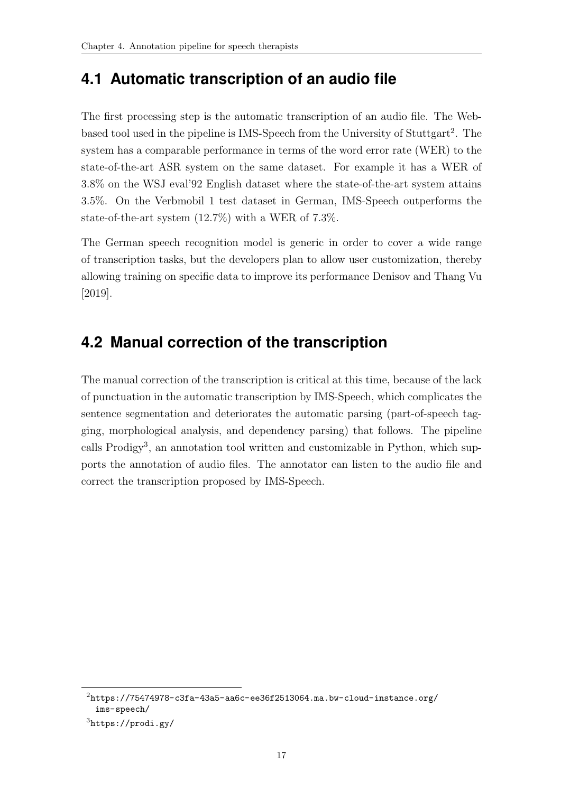## <span id="page-23-0"></span>**4.1 Automatic transcription of an audio file**

The first processing step is the automatic transcription of an audio file. The Web-based tool used in the pipeline is IMS-Speech from the University of Stuttgart<sup>[2](#page-0-0)</sup>. The system has a comparable performance in terms of the word error rate (WER) to the state-of-the-art ASR system on the same dataset. For example it has a WER of 3.8% on the WSJ eval'92 English dataset where the state-of-the-art system attains 3.5%. On the Verbmobil 1 test dataset in German, IMS-Speech outperforms the state-of-the-art system (12.7%) with a WER of 7.3%.

The German speech recognition model is generic in order to cover a wide range of transcription tasks, but the developers plan to allow user customization, thereby allowing training on specific data to improve its performance [Denisov and Thang Vu](#page-33-9) [\[2019\]](#page-33-9).

## <span id="page-23-1"></span>**4.2 Manual correction of the transcription**

The manual correction of the transcription is critical at this time, because of the lack of punctuation in the automatic transcription by IMS-Speech, which complicates the sentence segmentation and deteriorates the automatic parsing (part-of-speech tagging, morphological analysis, and dependency parsing) that follows. The pipeline calls Prodigy<sup>[3](#page-0-0)</sup>, an annotation tool written and customizable in Python, which supports the annotation of audio files. The annotator can listen to the audio file and correct the transcription proposed by IMS-Speech.

 $2$ [https://75474978-c3fa-43a5-aa6c-ee36f2513064.ma.bw-cloud-instance.org/](https://75474978-c3fa-43a5-aa6c-ee36f2513064.ma.bw-cloud-instance.org/ims-speech/) [ims-speech/](https://75474978-c3fa-43a5-aa6c-ee36f2513064.ma.bw-cloud-instance.org/ims-speech/)

 $3$ <https://prodi.gy/>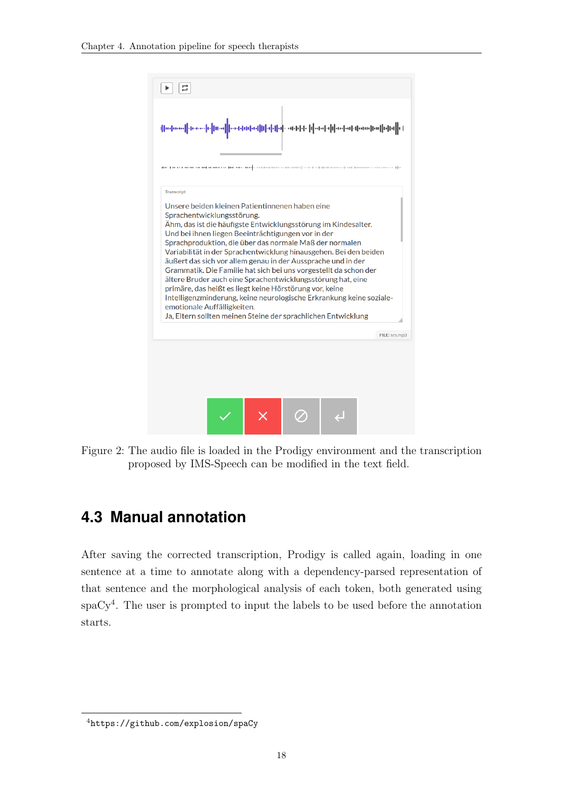

<span id="page-24-1"></span>Figure 2: The audio file is loaded in the Prodigy environment and the transcription proposed by IMS-Speech can be modified in the text field.

## <span id="page-24-0"></span>**4.3 Manual annotation**

After saving the corrected transcription, Prodigy is called again, loading in one sentence at a time to annotate along with a dependency-parsed representation of that sentence and the morphological analysis of each token, both generated using spaCy[4](#page-0-0) . The user is prompted to input the labels to be used before the annotation starts.

<sup>4</sup><https://github.com/explosion/spaCy>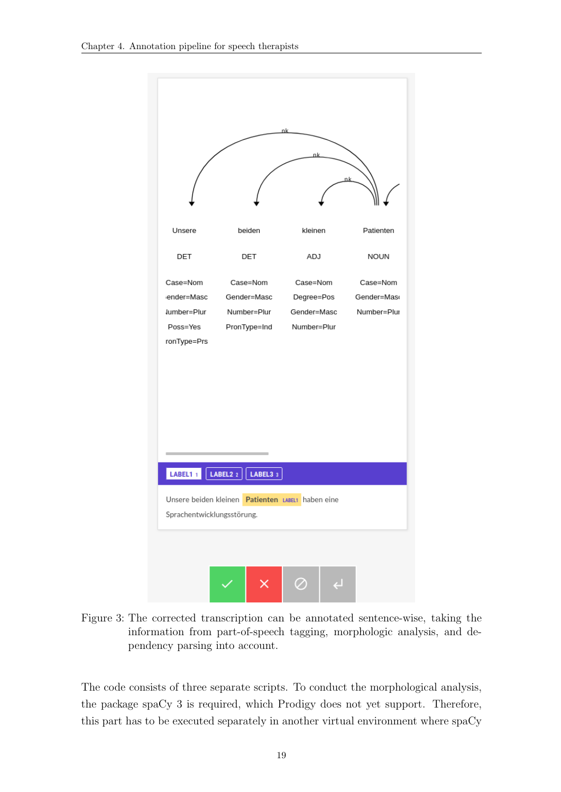

<span id="page-25-0"></span>Figure 3: The corrected transcription can be annotated sentence-wise, taking the information from part-of-speech tagging, morphologic analysis, and dependency parsing into account.

The code consists of three separate scripts. To conduct the morphological analysis, the package spaCy 3 is required, which Prodigy does not yet support. Therefore, this part has to be executed separately in another virtual environment where spaCy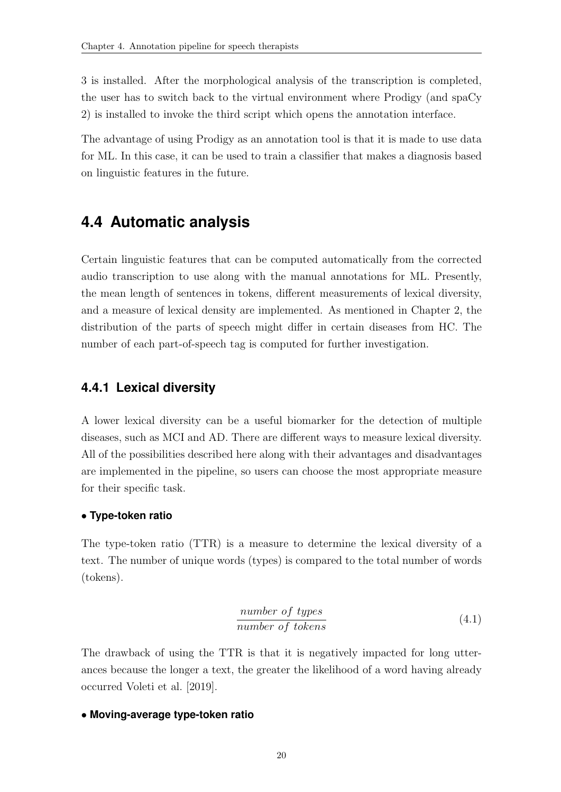3 is installed. After the morphological analysis of the transcription is completed, the user has to switch back to the virtual environment where Prodigy (and spaCy 2) is installed to invoke the third script which opens the annotation interface.

The advantage of using Prodigy as an annotation tool is that it is made to use data for ML. In this case, it can be used to train a classifier that makes a diagnosis based on linguistic features in the future.

### <span id="page-26-0"></span>**4.4 Automatic analysis**

Certain linguistic features that can be computed automatically from the corrected audio transcription to use along with the manual annotations for ML. Presently, the mean length of sentences in tokens, different measurements of lexical diversity, and a measure of lexical density are implemented. As mentioned in Chapter [2,](#page-9-0) the distribution of the parts of speech might differ in certain diseases from HC. The number of each part-of-speech tag is computed for further investigation.

#### <span id="page-26-1"></span>**4.4.1 Lexical diversity**

A lower lexical diversity can be a useful biomarker for the detection of multiple diseases, such as MCI and AD. There are different ways to measure lexical diversity. All of the possibilities described here along with their advantages and disadvantages are implemented in the pipeline, so users can choose the most appropriate measure for their specific task.

#### • **Type-token ratio**

The type-token ratio (TTR) is a measure to determine the lexical diversity of a text. The number of unique words (types) is compared to the total number of words (tokens).

$$
\frac{number\ of\ types}{number\ of\ tokens} \tag{4.1}
$$

The drawback of using the TTR is that it is negatively impacted for long utterances because the longer a text, the greater the likelihood of a word having already occurred [Voleti et al.](#page-49-8) [\[2019\]](#page-49-8).

#### • **Moving-average type-token ratio**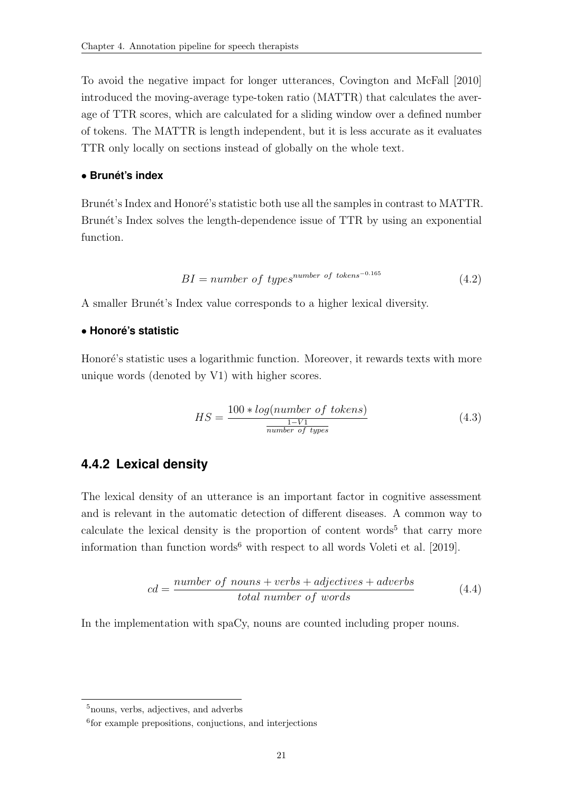To avoid the negative impact for longer utterances, [Covington and McFall](#page-33-10) [\[2010\]](#page-33-10) introduced the moving-average type-token ratio (MATTR) that calculates the average of TTR scores, which are calculated for a sliding window over a defined number of tokens. The MATTR is length independent, but it is less accurate as it evaluates TTR only locally on sections instead of globally on the whole text.

#### • **Brunet's index ´**

Brunét's Index and Honoré's statistic both use all the samples in contrast to MATTR. Brunét's Index solves the length-dependence issue of TTR by using an exponential function.

$$
BI = number of typesnumber of tokens-0.165
$$
 (4.2)

A smaller Brunét's Index value corresponds to a higher lexical diversity.

#### • **Honore's statistic ´**

Honoré's statistic uses a logarithmic function. Moreover, it rewards texts with more unique words (denoted by V1) with higher scores.

$$
HS = \frac{100 * log(number \ of \ tokens)}{\frac{1 - V1}{number \ of \ types}} \tag{4.3}
$$

#### <span id="page-27-0"></span>**4.4.2 Lexical density**

The lexical density of an utterance is an important factor in cognitive assessment and is relevant in the automatic detection of different diseases. A common way to calculate the lexical density is the proportion of content words<sup>[5](#page-0-0)</sup> that carry more information than function words<sup>[6](#page-0-0)</sup> with respect to all words [Voleti et al.](#page-49-8) [\[2019\]](#page-49-8).

$$
cd = \frac{number\ of\ nouns + verbs + adjectives + adverbs}{total\ number\ of\ words} \tag{4.4}
$$

In the implementation with spaCy, nouns are counted including proper nouns.

<sup>5</sup>nouns, verbs, adjectives, and adverbs

<sup>6</sup> for example prepositions, conjuctions, and interjections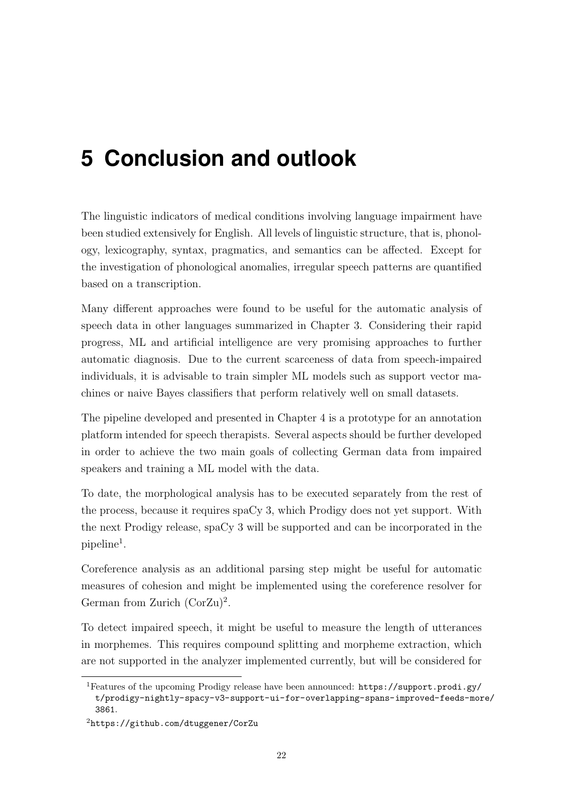# <span id="page-28-0"></span>**5 Conclusion and outlook**

The linguistic indicators of medical conditions involving language impairment have been studied extensively for English. All levels of linguistic structure, that is, phonology, lexicography, syntax, pragmatics, and semantics can be affected. Except for the investigation of phonological anomalies, irregular speech patterns are quantified based on a transcription.

Many different approaches were found to be useful for the automatic analysis of speech data in other languages summarized in Chapter [3.](#page-18-0) Considering their rapid progress, ML and artificial intelligence are very promising approaches to further automatic diagnosis. Due to the current scarceness of data from speech-impaired individuals, it is advisable to train simpler ML models such as support vector machines or naive Bayes classifiers that perform relatively well on small datasets.

The pipeline developed and presented in Chapter [4](#page-22-0) is a prototype for an annotation platform intended for speech therapists. Several aspects should be further developed in order to achieve the two main goals of collecting German data from impaired speakers and training a ML model with the data.

To date, the morphological analysis has to be executed separately from the rest of the process, because it requires spaCy 3, which Prodigy does not yet support. With the next Prodigy release, spaCy 3 will be supported and can be incorporated in the  $pi$ ipeline<sup>[1](#page-0-0)</sup>.

Coreference analysis as an additional parsing step might be useful for automatic measures of cohesion and might be implemented using the coreference resolver for German from Zurich (CorZu)<sup>[2](#page-0-0)</sup>.

To detect impaired speech, it might be useful to measure the length of utterances in morphemes. This requires compound splitting and morpheme extraction, which are not supported in the analyzer implemented currently, but will be considered for

<sup>1</sup>Features of the upcoming Prodigy release have been announced: [https://support.prodi.gy/](https://support.prodi.gy/t/prodigy-nightly-spacy-v3-support-ui-for-overlapping-spans-improved-feeds-more/3861) [t/prodigy-nightly-spacy-v3-support-ui-for-overlapping-spans-improved-feeds-mor](https://support.prodi.gy/t/prodigy-nightly-spacy-v3-support-ui-for-overlapping-spans-improved-feeds-more/3861)e/ [3861](https://support.prodi.gy/t/prodigy-nightly-spacy-v3-support-ui-for-overlapping-spans-improved-feeds-more/3861).

<sup>2</sup><https://github.com/dtuggener/CorZu>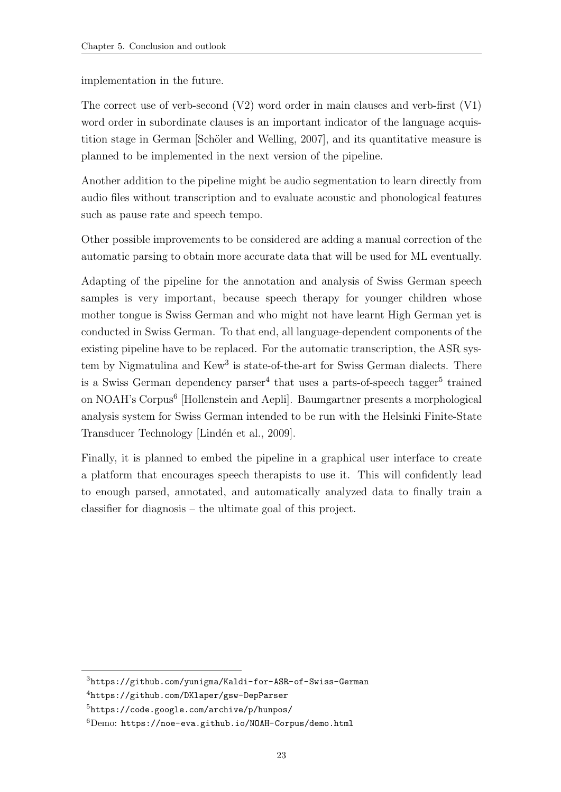implementation in the future.

The correct use of verb-second (V2) word order in main clauses and verb-first (V1) word order in subordinate clauses is an important indicator of the language acquistition stage in German [Schöler and Welling, 2007], and its quantitative measure is planned to be implemented in the next version of the pipeline.

Another addition to the pipeline might be audio segmentation to learn directly from audio files without transcription and to evaluate acoustic and phonological features such as pause rate and speech tempo.

Other possible improvements to be considered are adding a manual correction of the automatic parsing to obtain more accurate data that will be used for ML eventually.

Adapting of the pipeline for the annotation and analysis of Swiss German speech samples is very important, because speech therapy for younger children whose mother tongue is Swiss German and who might not have learnt High German yet is conducted in Swiss German. To that end, all language-dependent components of the existing pipeline have to be replaced. For the automatic transcription, the ASR sys-tem by Nigmatulina and Kew<sup>[3](#page-0-0)</sup> is state-of-the-art for Swiss German dialects. There is a Swiss German dependency parser<sup>[4](#page-0-0)</sup> that uses a parts-of-speech tagger<sup>[5](#page-0-0)</sup> trained on NOAH's Corpus<sup>[6](#page-0-0)</sup> [\[Hollenstein and Aepli\]](#page-37-9). [Baumgartner](#page-31-9) presents a morphological analysis system for Swiss German intended to be run with the Helsinki Finite-State Transducer Technology [Lindén et al., 2009].

Finally, it is planned to embed the pipeline in a graphical user interface to create a platform that encourages speech therapists to use it. This will confidently lead to enough parsed, annotated, and automatically analyzed data to finally train a classifier for diagnosis – the ultimate goal of this project.

<sup>3</sup><https://github.com/yunigma/Kaldi-for-ASR-of-Swiss-German>

<sup>4</sup><https://github.com/DKlaper/gsw-DepParser>

<sup>5</sup><https://code.google.com/archive/p/hunpos/>

 ${}^{6}$ Demo: <https://noe-eva.github.io/NOAH-Corpus/demo.html>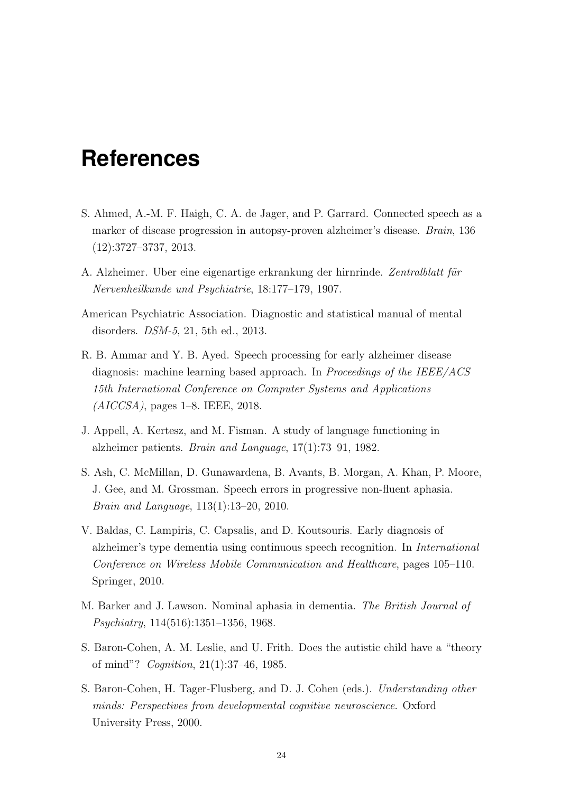## <span id="page-30-0"></span>**References**

- <span id="page-30-1"></span>S. Ahmed, A.-M. F. Haigh, C. A. de Jager, and P. Garrard. Connected speech as a marker of disease progression in autopsy-proven alzheimer's disease. Brain, 136 (12):3727–3737, 2013.
- <span id="page-30-3"></span>A. Alzheimer. Uber eine eigenartige erkrankung der hirnrinde. Zentralblatt für Nervenheilkunde und Psychiatrie, 18:177–179, 1907.
- <span id="page-30-2"></span>American Psychiatric Association. Diagnostic and statistical manual of mental disorders. DSM-5, 21, 5th ed., 2013.
- <span id="page-30-9"></span>R. B. Ammar and Y. B. Ayed. Speech processing for early alzheimer disease diagnosis: machine learning based approach. In *Proceedings of the IEEE/ACS* 15th International Conference on Computer Systems and Applications  $(AICCSA)$ , pages 1–8. IEEE, 2018.
- <span id="page-30-4"></span>J. Appell, A. Kertesz, and M. Fisman. A study of language functioning in alzheimer patients. Brain and Language, 17(1):73–91, 1982.
- S. Ash, C. McMillan, D. Gunawardena, B. Avants, B. Morgan, A. Khan, P. Moore, J. Gee, and M. Grossman. Speech errors in progressive non-fluent aphasia. Brain and Language, 113(1):13–20, 2010.
- <span id="page-30-6"></span>V. Baldas, C. Lampiris, C. Capsalis, and D. Koutsouris. Early diagnosis of alzheimer's type dementia using continuous speech recognition. In International Conference on Wireless Mobile Communication and Healthcare, pages 105–110. Springer, 2010.
- <span id="page-30-5"></span>M. Barker and J. Lawson. Nominal aphasia in dementia. The British Journal of Psychiatry, 114(516):1351–1356, 1968.
- <span id="page-30-7"></span>S. Baron-Cohen, A. M. Leslie, and U. Frith. Does the autistic child have a "theory of mind"? Cognition, 21(1):37–46, 1985.
- <span id="page-30-8"></span>S. Baron-Cohen, H. Tager-Flusberg, and D. J. Cohen (eds.). Understanding other minds: Perspectives from developmental cognitive neuroscience. Oxford University Press, 2000.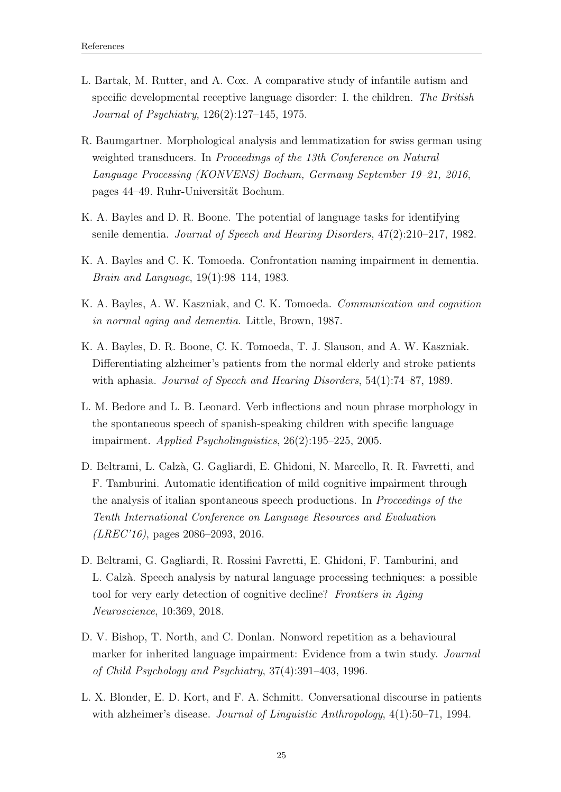- <span id="page-31-7"></span>L. Bartak, M. Rutter, and A. Cox. A comparative study of infantile autism and specific developmental receptive language disorder: I. the children. The British Journal of Psychiatry, 126(2):127–145, 1975.
- <span id="page-31-9"></span>R. Baumgartner. Morphological analysis and lemmatization for swiss german using weighted transducers. In Proceedings of the 13th Conference on Natural Language Processing (KONVENS) Bochum, Germany September 19–21, 2016, pages 44–49. Ruhr-Universität Bochum.
- <span id="page-31-3"></span>K. A. Bayles and D. R. Boone. The potential of language tasks for identifying senile dementia. Journal of Speech and Hearing Disorders, 47(2):210–217, 1982.
- <span id="page-31-4"></span>K. A. Bayles and C. K. Tomoeda. Confrontation naming impairment in dementia. Brain and Language, 19(1):98–114, 1983.
- <span id="page-31-6"></span>K. A. Bayles, A. W. Kaszniak, and C. K. Tomoeda. Communication and cognition in normal aging and dementia. Little, Brown, 1987.
- <span id="page-31-5"></span>K. A. Bayles, D. R. Boone, C. K. Tomoeda, T. J. Slauson, and A. W. Kaszniak. Differentiating alzheimer's patients from the normal elderly and stroke patients with aphasia. *Journal of Speech and Hearing Disorders*, 54(1):74–87, 1989.
- <span id="page-31-1"></span>L. M. Bedore and L. B. Leonard. Verb inflections and noun phrase morphology in the spontaneous speech of spanish-speaking children with specific language impairment. Applied Psycholinguistics, 26(2):195–225, 2005.
- <span id="page-31-8"></span>D. Beltrami, L. Calz`a, G. Gagliardi, E. Ghidoni, N. Marcello, R. R. Favretti, and F. Tamburini. Automatic identification of mild cognitive impairment through the analysis of italian spontaneous speech productions. In Proceedings of the Tenth International Conference on Language Resources and Evaluation  $(LREC'16)$ , pages 2086–2093, 2016.
- D. Beltrami, G. Gagliardi, R. Rossini Favretti, E. Ghidoni, F. Tamburini, and L. Calz`a. Speech analysis by natural language processing techniques: a possible tool for very early detection of cognitive decline? Frontiers in Aging Neuroscience, 10:369, 2018.
- <span id="page-31-0"></span>D. V. Bishop, T. North, and C. Donlan. Nonword repetition as a behavioural marker for inherited language impairment: Evidence from a twin study. Journal of Child Psychology and Psychiatry, 37(4):391–403, 1996.
- <span id="page-31-2"></span>L. X. Blonder, E. D. Kort, and F. A. Schmitt. Conversational discourse in patients with alzheimer's disease. *Journal of Linguistic Anthropology*,  $4(1):50-71$ , 1994.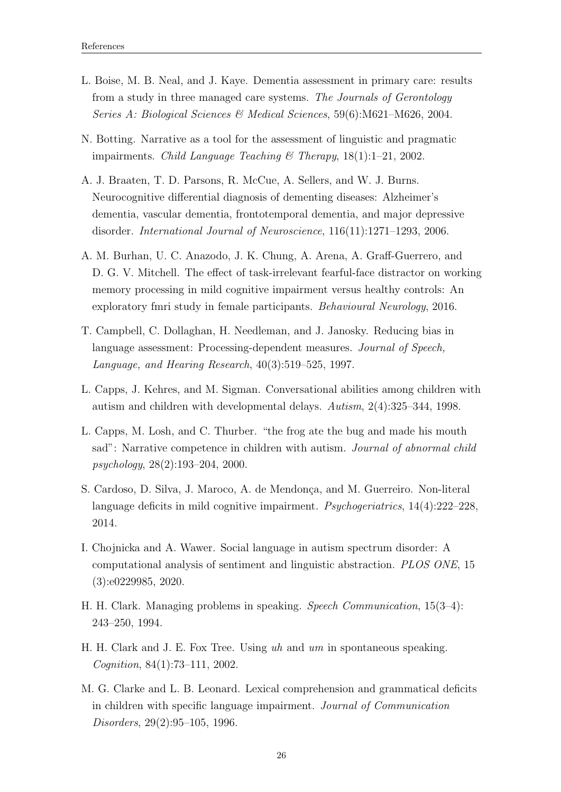- <span id="page-32-3"></span>L. Boise, M. B. Neal, and J. Kaye. Dementia assessment in primary care: results from a study in three managed care systems. The Journals of Gerontology Series A: Biological Sciences & Medical Sciences, 59(6):M621–M626, 2004.
- <span id="page-32-1"></span>N. Botting. Narrative as a tool for the assessment of linguistic and pragmatic impairments. Child Language Teaching  $\mathcal B$  Therapy, 18(1):1–21, 2002.
- A. J. Braaten, T. D. Parsons, R. McCue, A. Sellers, and W. J. Burns. Neurocognitive differential diagnosis of dementing diseases: Alzheimer's dementia, vascular dementia, frontotemporal dementia, and major depressive disorder. International Journal of Neuroscience, 116(11):1271–1293, 2006.
- <span id="page-32-5"></span>A. M. Burhan, U. C. Anazodo, J. K. Chung, A. Arena, A. Graff-Guerrero, and D. G. V. Mitchell. The effect of task-irrelevant fearful-face distractor on working memory processing in mild cognitive impairment versus healthy controls: An exploratory fmri study in female participants. Behavioural Neurology, 2016.
- <span id="page-32-0"></span>T. Campbell, C. Dollaghan, H. Needleman, and J. Janosky. Reducing bias in language assessment: Processing-dependent measures. Journal of Speech, Language, and Hearing Research, 40(3):519–525, 1997.
- <span id="page-32-6"></span>L. Capps, J. Kehres, and M. Sigman. Conversational abilities among children with autism and children with developmental delays. Autism, 2(4):325–344, 1998.
- <span id="page-32-9"></span>L. Capps, M. Losh, and C. Thurber. "the frog ate the bug and made his mouth sad": Narrative competence in children with autism. *Journal of abnormal child* psychology, 28(2):193–204, 2000.
- <span id="page-32-4"></span>S. Cardoso, D. Silva, J. Maroco, A. de Mendonça, and M. Guerreiro. Non-literal language deficits in mild cognitive impairment. Psychogeriatrics, 14(4):222–228, 2014.
- <span id="page-32-10"></span>I. Chojnicka and A. Wawer. Social language in autism spectrum disorder: A computational analysis of sentiment and linguistic abstraction. PLOS ONE, 15 (3):e0229985, 2020.
- <span id="page-32-7"></span>H. H. Clark. Managing problems in speaking. Speech Communication, 15(3–4): 243–250, 1994.
- <span id="page-32-8"></span>H. H. Clark and J. E. Fox Tree. Using uh and um in spontaneous speaking. Cognition, 84(1):73–111, 2002.
- <span id="page-32-2"></span>M. G. Clarke and L. B. Leonard. Lexical comprehension and grammatical deficits in children with specific language impairment. Journal of Communication Disorders, 29(2):95–105, 1996.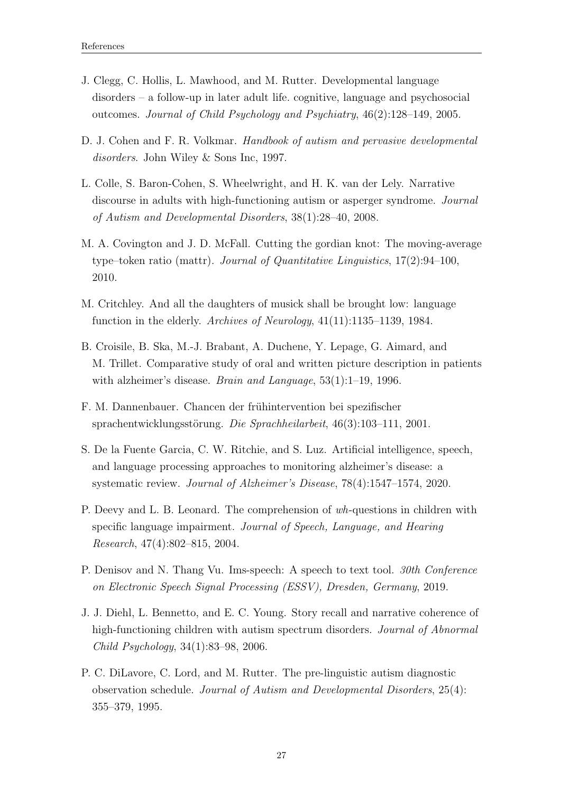- <span id="page-33-0"></span>J. Clegg, C. Hollis, L. Mawhood, and M. Rutter. Developmental language disorders – a follow-up in later adult life. cognitive, language and psychosocial outcomes. Journal of Child Psychology and Psychiatry, 46(2):128–149, 2005.
- D. J. Cohen and F. R. Volkmar. *Handbook of autism and pervasive developmental* disorders. John Wiley & Sons Inc, 1997.
- <span id="page-33-7"></span>L. Colle, S. Baron-Cohen, S. Wheelwright, and H. K. van der Lely. Narrative discourse in adults with high-functioning autism or asperger syndrome. Journal of Autism and Developmental Disorders, 38(1):28–40, 2008.
- <span id="page-33-10"></span>M. A. Covington and J. D. McFall. Cutting the gordian knot: The moving-average type–token ratio (mattr). Journal of Quantitative Linguistics,  $17(2):94-100$ , 2010.
- <span id="page-33-4"></span>M. Critchley. And all the daughters of musick shall be brought low: language function in the elderly. Archives of Neurology, 41(11):1135–1139, 1984.
- <span id="page-33-3"></span>B. Croisile, B. Ska, M.-J. Brabant, A. Duchene, Y. Lepage, G. Aimard, and M. Trillet. Comparative study of oral and written picture description in patients with alzheimer's disease. *Brain and Language*, 53(1):1–19, 1996.
- <span id="page-33-2"></span>F. M. Dannenbauer. Chancen der frühintervention bei spezifischer sprachentwicklungsstörung. Die Sprachheilarbeit,  $46(3):103-111$ , 2001.
- <span id="page-33-8"></span>S. De la Fuente Garcia, C. W. Ritchie, and S. Luz. Artificial intelligence, speech, and language processing approaches to monitoring alzheimer's disease: a systematic review. Journal of Alzheimer's Disease, 78(4):1547–1574, 2020.
- <span id="page-33-1"></span>P. Deevy and L. B. Leonard. The comprehension of wh-questions in children with specific language impairment. Journal of Speech, Language, and Hearing Research, 47(4):802–815, 2004.
- <span id="page-33-9"></span>P. Denisov and N. Thang Vu. Ims-speech: A speech to text tool. 30th Conference on Electronic Speech Signal Processing (ESSV), Dresden, Germany, 2019.
- <span id="page-33-6"></span>J. J. Diehl, L. Bennetto, and E. C. Young. Story recall and narrative coherence of high-functioning children with autism spectrum disorders. Journal of Abnormal Child Psychology, 34(1):83–98, 2006.
- <span id="page-33-5"></span>P. C. DiLavore, C. Lord, and M. Rutter. The pre-linguistic autism diagnostic observation schedule. Journal of Autism and Developmental Disorders, 25(4): 355–379, 1995.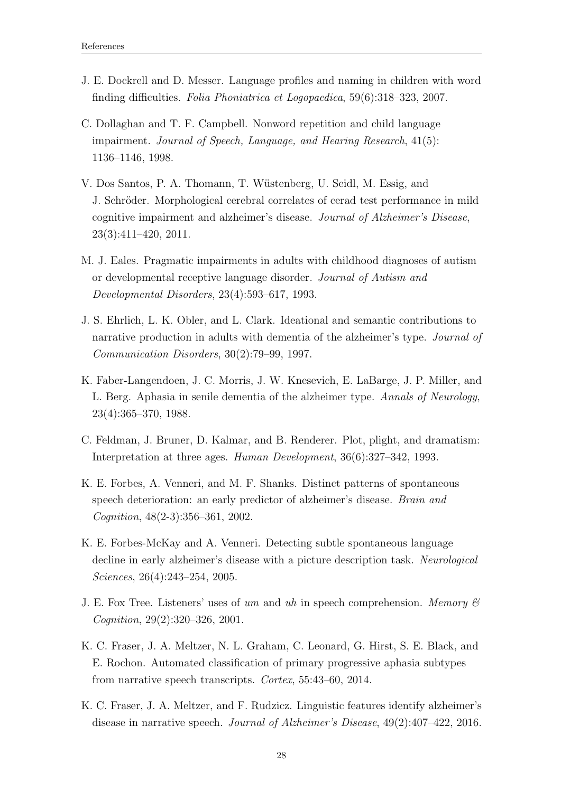- <span id="page-34-2"></span>J. E. Dockrell and D. Messer. Language profiles and naming in children with word finding difficulties. Folia Phoniatrica et Logopaedica, 59(6):318–323, 2007.
- <span id="page-34-1"></span>C. Dollaghan and T. F. Campbell. Nonword repetition and child language impairment. Journal of Speech, Language, and Hearing Research, 41(5): 1136–1146, 1998.
- <span id="page-34-7"></span>V. Dos Santos, P. A. Thomann, T. W¨ustenberg, U. Seidl, M. Essig, and J. Schröder. Morphological cerebral correlates of cerad test performance in mild cognitive impairment and alzheimer's disease. Journal of Alzheimer's Disease, 23(3):411–420, 2011.
- <span id="page-34-9"></span>M. J. Eales. Pragmatic impairments in adults with childhood diagnoses of autism or developmental receptive language disorder. Journal of Autism and Developmental Disorders, 23(4):593–617, 1993.
- <span id="page-34-6"></span>J. S. Ehrlich, L. K. Obler, and L. Clark. Ideational and semantic contributions to narrative production in adults with dementia of the alzheimer's type. *Journal of* Communication Disorders, 30(2):79–99, 1997.
- <span id="page-34-5"></span>K. Faber-Langendoen, J. C. Morris, J. W. Knesevich, E. LaBarge, J. P. Miller, and L. Berg. Aphasia in senile dementia of the alzheimer type. Annals of Neurology, 23(4):365–370, 1988.
- <span id="page-34-8"></span>C. Feldman, J. Bruner, D. Kalmar, and B. Renderer. Plot, plight, and dramatism: Interpretation at three ages. Human Development, 36(6):327–342, 1993.
- K. E. Forbes, A. Venneri, and M. F. Shanks. Distinct patterns of spontaneous speech deterioration: an early predictor of alzheimer's disease. Brain and Cognition, 48(2-3):356–361, 2002.
- <span id="page-34-4"></span>K. E. Forbes-McKay and A. Venneri. Detecting subtle spontaneous language decline in early alzheimer's disease with a picture description task. Neurological Sciences, 26(4):243–254, 2005.
- <span id="page-34-10"></span>J. E. Fox Tree. Listeners' uses of um and uh in speech comprehension. Memory  $\mathscr B$ Cognition, 29(2):320–326, 2001.
- <span id="page-34-0"></span>K. C. Fraser, J. A. Meltzer, N. L. Graham, C. Leonard, G. Hirst, S. E. Black, and E. Rochon. Automated classification of primary progressive aphasia subtypes from narrative speech transcripts. Cortex, 55:43–60, 2014.
- <span id="page-34-3"></span>K. C. Fraser, J. A. Meltzer, and F. Rudzicz. Linguistic features identify alzheimer's disease in narrative speech. Journal of Alzheimer's Disease, 49(2):407–422, 2016.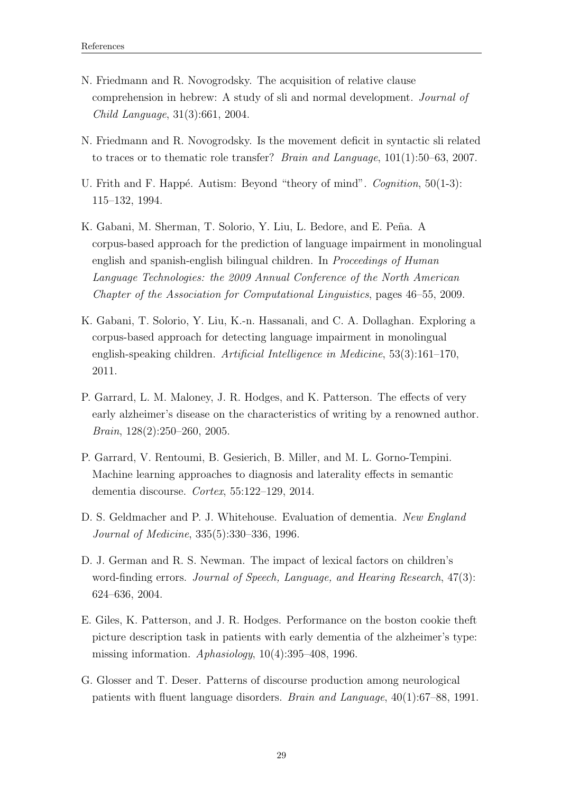- <span id="page-35-1"></span>N. Friedmann and R. Novogrodsky. The acquisition of relative clause comprehension in hebrew: A study of sli and normal development. Journal of Child Language, 31(3):661, 2004.
- <span id="page-35-2"></span>N. Friedmann and R. Novogrodsky. Is the movement deficit in syntactic sli related to traces or to thematic role transfer? Brain and Language, 101(1):50–63, 2007.
- <span id="page-35-8"></span>U. Frith and F. Happé. Autism: Beyond "theory of mind". *Cognition*, 50(1-3): 115–132, 1994.
- <span id="page-35-9"></span>K. Gabani, M. Sherman, T. Solorio, Y. Liu, L. Bedore, and E. Peña. A corpus-based approach for the prediction of language impairment in monolingual english and spanish-english bilingual children. In *Proceedings of Human* Language Technologies: the 2009 Annual Conference of the North American Chapter of the Association for Computational Linguistics, pages 46–55, 2009.
- <span id="page-35-0"></span>K. Gabani, T. Solorio, Y. Liu, K.-n. Hassanali, and C. A. Dollaghan. Exploring a corpus-based approach for detecting language impairment in monolingual english-speaking children. Artificial Intelligence in Medicine, 53(3):161–170, 2011.
- P. Garrard, L. M. Maloney, J. R. Hodges, and K. Patterson. The effects of very early alzheimer's disease on the characteristics of writing by a renowned author. Brain, 128(2):250–260, 2005.
- <span id="page-35-7"></span>P. Garrard, V. Rentoumi, B. Gesierich, B. Miller, and M. L. Gorno-Tempini. Machine learning approaches to diagnosis and laterality effects in semantic dementia discourse. Cortex, 55:122–129, 2014.
- <span id="page-35-4"></span>D. S. Geldmacher and P. J. Whitehouse. Evaluation of dementia. New England Journal of Medicine, 335(5):330–336, 1996.
- <span id="page-35-3"></span>D. J. German and R. S. Newman. The impact of lexical factors on children's word-finding errors. Journal of Speech, Language, and Hearing Research, 47(3): 624–636, 2004.
- <span id="page-35-6"></span>E. Giles, K. Patterson, and J. R. Hodges. Performance on the boston cookie theft picture description task in patients with early dementia of the alzheimer's type: missing information.  $Aphasiology$ ,  $10(4):395-408$ , 1996.
- <span id="page-35-5"></span>G. Glosser and T. Deser. Patterns of discourse production among neurological patients with fluent language disorders. Brain and Language, 40(1):67–88, 1991.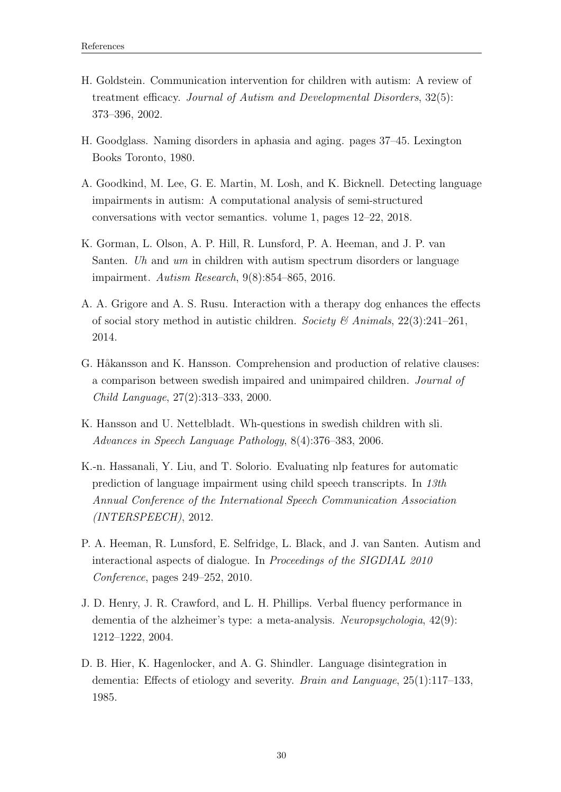- <span id="page-36-5"></span>H. Goldstein. Communication intervention for children with autism: A review of treatment efficacy. Journal of Autism and Developmental Disorders, 32(5): 373–396, 2002.
- <span id="page-36-3"></span>H. Goodglass. Naming disorders in aphasia and aging. pages 37–45. Lexington Books Toronto, 1980.
- <span id="page-36-9"></span>A. Goodkind, M. Lee, G. E. Martin, M. Losh, and K. Bicknell. Detecting language impairments in autism: A computational analysis of semi-structured conversations with vector semantics. volume 1, pages 12–22, 2018.
- <span id="page-36-7"></span>K. Gorman, L. Olson, A. P. Hill, R. Lunsford, P. A. Heeman, and J. P. van Santen. Uh and um in children with autism spectrum disorders or language impairment. Autism Research, 9(8):854–865, 2016.
- A. A. Grigore and A. S. Rusu. Interaction with a therapy dog enhances the effects of social story method in autistic children. Society & Animals,  $22(3):241-261$ , 2014.
- <span id="page-36-1"></span>G. Håkansson and K. Hansson. Comprehension and production of relative clauses: a comparison between swedish impaired and unimpaired children. Journal of Child Language, 27(2):313–333, 2000.
- <span id="page-36-0"></span>K. Hansson and U. Nettelbladt. Wh-questions in swedish children with sli. Advances in Speech Language Pathology, 8(4):376–383, 2006.
- <span id="page-36-8"></span>K.-n. Hassanali, Y. Liu, and T. Solorio. Evaluating nlp features for automatic prediction of language impairment using child speech transcripts. In 13th Annual Conference of the International Speech Communication Association (INTERSPEECH), 2012.
- <span id="page-36-6"></span>P. A. Heeman, R. Lunsford, E. Selfridge, L. Black, and J. van Santen. Autism and interactional aspects of dialogue. In Proceedings of the SIGDIAL 2010 Conference, pages 249–252, 2010.
- <span id="page-36-4"></span>J. D. Henry, J. R. Crawford, and L. H. Phillips. Verbal fluency performance in dementia of the alzheimer's type: a meta-analysis. Neuropsychologia, 42(9): 1212–1222, 2004.
- <span id="page-36-2"></span>D. B. Hier, K. Hagenlocker, and A. G. Shindler. Language disintegration in dementia: Effects of etiology and severity. Brain and Language, 25(1):117–133, 1985.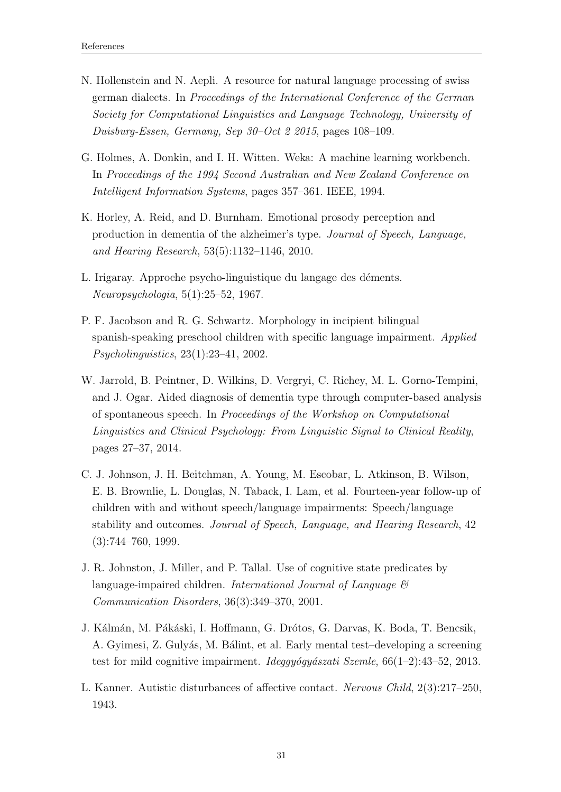- <span id="page-37-9"></span>N. Hollenstein and N. Aepli. A resource for natural language processing of swiss german dialects. In Proceedings of the International Conference of the German Society for Computational Linguistics and Language Technology, University of Duisburg-Essen, Germany, Sep 30–Oct 2 2015, pages 108–109.
- <span id="page-37-8"></span>G. Holmes, A. Donkin, and I. H. Witten. Weka: A machine learning workbench. In Proceedings of the 1994 Second Australian and New Zealand Conference on Intelligent Information Systems, pages 357–361. IEEE, 1994.
- <span id="page-37-6"></span>K. Horley, A. Reid, and D. Burnham. Emotional prosody perception and production in dementia of the alzheimer's type. Journal of Speech, Language, and Hearing Research, 53(5):1132–1146, 2010.
- <span id="page-37-3"></span>L. Irigaray. Approche psycho-linguistique du langage des déments. Neuropsychologia, 5(1):25–52, 1967.
- <span id="page-37-1"></span>P. F. Jacobson and R. G. Schwartz. Morphology in incipient bilingual spanish-speaking preschool children with specific language impairment. Applied Psycholinguistics, 23(1):23–41, 2002.
- <span id="page-37-4"></span>W. Jarrold, B. Peintner, D. Wilkins, D. Vergryi, C. Richey, M. L. Gorno-Tempini, and J. Ogar. Aided diagnosis of dementia type through computer-based analysis of spontaneous speech. In Proceedings of the Workshop on Computational Linguistics and Clinical Psychology: From Linguistic Signal to Clinical Reality, pages 27–37, 2014.
- <span id="page-37-0"></span>C. J. Johnson, J. H. Beitchman, A. Young, M. Escobar, L. Atkinson, B. Wilson, E. B. Brownlie, L. Douglas, N. Taback, I. Lam, et al. Fourteen-year follow-up of children with and without speech/language impairments: Speech/language stability and outcomes. Journal of Speech, Language, and Hearing Research, 42 (3):744–760, 1999.
- <span id="page-37-2"></span>J. R. Johnston, J. Miller, and P. Tallal. Use of cognitive state predicates by language-impaired children. International Journal of Language  $\mathcal{C}$ Communication Disorders, 36(3):349–370, 2001.
- <span id="page-37-5"></span>J. Kálmán, M. Pákáski, I. Hoffmann, G. Drótos, G. Darvas, K. Boda, T. Bencsik, A. Gyimesi, Z. Gulyás, M. Bálint, et al. Early mental test–developing a screening test for mild cognitive impairment. *Ideggyogyászati Szemle*, 66(1–2):43–52, 2013.
- <span id="page-37-7"></span>L. Kanner. Autistic disturbances of affective contact. Nervous Child, 2(3):217–250, 1943.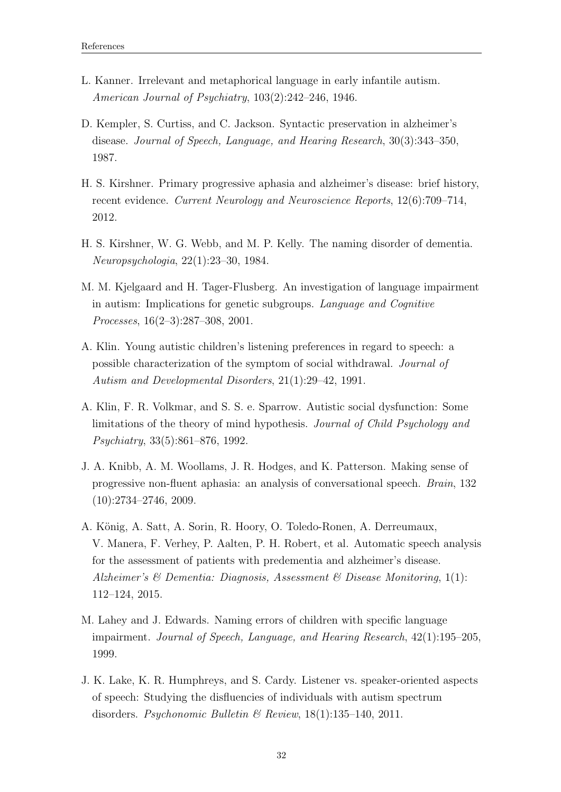- <span id="page-38-8"></span>L. Kanner. Irrelevant and metaphorical language in early infantile autism. American Journal of Psychiatry, 103(2):242–246, 1946.
- <span id="page-38-3"></span>D. Kempler, S. Curtiss, and C. Jackson. Syntactic preservation in alzheimer's disease. Journal of Speech, Language, and Hearing Research, 30(3):343–350, 1987.
- <span id="page-38-4"></span>H. S. Kirshner. Primary progressive aphasia and alzheimer's disease: brief history, recent evidence. Current Neurology and Neuroscience Reports, 12(6):709–714, 2012.
- <span id="page-38-2"></span>H. S. Kirshner, W. G. Webb, and M. P. Kelly. The naming disorder of dementia. Neuropsychologia, 22(1):23–30, 1984.
- <span id="page-38-0"></span>M. M. Kjelgaard and H. Tager-Flusberg. An investigation of language impairment in autism: Implications for genetic subgroups. Language and Cognitive Processes, 16(2–3):287–308, 2001.
- <span id="page-38-6"></span>A. Klin. Young autistic children's listening preferences in regard to speech: a possible characterization of the symptom of social withdrawal. Journal of Autism and Developmental Disorders, 21(1):29–42, 1991.
- <span id="page-38-9"></span>A. Klin, F. R. Volkmar, and S. S. e. Sparrow. Autistic social dysfunction: Some limitations of the theory of mind hypothesis. Journal of Child Psychology and Psychiatry, 33(5):861–876, 1992.
- J. A. Knibb, A. M. Woollams, J. R. Hodges, and K. Patterson. Making sense of progressive non-fluent aphasia: an analysis of conversational speech. Brain, 132 (10):2734–2746, 2009.
- <span id="page-38-5"></span>A. König, A. Satt, A. Sorin, R. Hoory, O. Toledo-Ronen, A. Derreumaux, V. Manera, F. Verhey, P. Aalten, P. H. Robert, et al. Automatic speech analysis for the assessment of patients with predementia and alzheimer's disease. Alzheimer's & Dementia: Diagnosis, Assessment & Disease Monitoring, 1(1): 112–124, 2015.
- <span id="page-38-1"></span>M. Lahey and J. Edwards. Naming errors of children with specific language impairment. Journal of Speech, Language, and Hearing Research, 42(1):195–205, 1999.
- <span id="page-38-7"></span>J. K. Lake, K. R. Humphreys, and S. Cardy. Listener vs. speaker-oriented aspects of speech: Studying the disfluencies of individuals with autism spectrum disorders. Psychonomic Bulletin & Review, 18(1):135–140, 2011.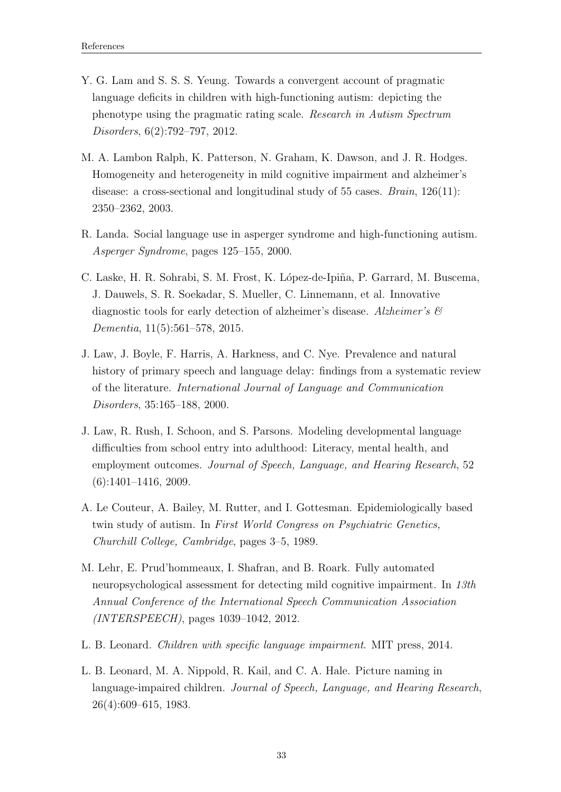- Y. G. Lam and S. S. S. Yeung. Towards a convergent account of pragmatic language deficits in children with high-functioning autism: depicting the phenotype using the pragmatic rating scale. Research in Autism Spectrum Disorders, 6(2):792–797, 2012.
- <span id="page-39-5"></span>M. A. Lambon Ralph, K. Patterson, N. Graham, K. Dawson, and J. R. Hodges. Homogeneity and heterogeneity in mild cognitive impairment and alzheimer's disease: a cross-sectional and longitudinal study of 55 cases.  $Brain, 126(11)$ : 2350–2362, 2003.
- <span id="page-39-7"></span>R. Landa. Social language use in asperger syndrome and high-functioning autism. Asperger Syndrome, pages 125–155, 2000.
- <span id="page-39-6"></span>C. Laske, H. R. Sohrabi, S. M. Frost, K. López-de-Ipiña, P. Garrard, M. Buscema, J. Dauwels, S. R. Soekadar, S. Mueller, C. Linnemann, et al. Innovative diagnostic tools for early detection of alzheimer's disease. Alzheimer's  $\mathcal{C}$ Dementia, 11(5):561–578, 2015.
- <span id="page-39-3"></span>J. Law, J. Boyle, F. Harris, A. Harkness, and C. Nye. Prevalence and natural history of primary speech and language delay: findings from a systematic review of the literature. International Journal of Language and Communication Disorders, 35:165–188, 2000.
- <span id="page-39-2"></span>J. Law, R. Rush, I. Schoon, and S. Parsons. Modeling developmental language difficulties from school entry into adulthood: Literacy, mental health, and employment outcomes. Journal of Speech, Language, and Hearing Research, 52 (6):1401–1416, 2009.
- <span id="page-39-8"></span>A. Le Couteur, A. Bailey, M. Rutter, and I. Gottesman. Epidemiologically based twin study of autism. In First World Congress on Psychiatric Genetics, Churchill College, Cambridge, pages 3–5, 1989.
- <span id="page-39-0"></span>M. Lehr, E. Prud'hommeaux, I. Shafran, and B. Roark. Fully automated neuropsychological assessment for detecting mild cognitive impairment. In 13th Annual Conference of the International Speech Communication Association (INTERSPEECH), pages 1039–1042, 2012.
- <span id="page-39-1"></span>L. B. Leonard. Children with specific language impairment. MIT press, 2014.
- <span id="page-39-4"></span>L. B. Leonard, M. A. Nippold, R. Kail, and C. A. Hale. Picture naming in language-impaired children. Journal of Speech, Language, and Hearing Research, 26(4):609–615, 1983.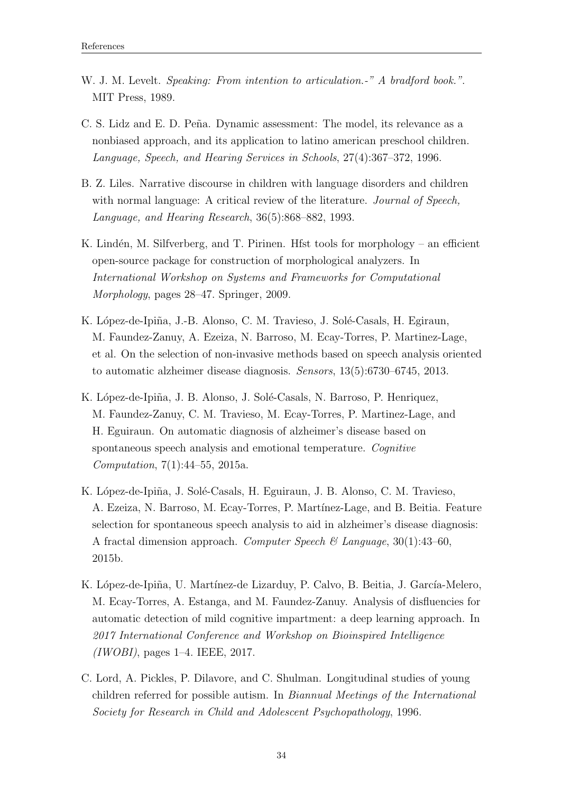- <span id="page-40-4"></span>W. J. M. Levelt. Speaking: From intention to articulation.<sup>-"</sup> A bradford book.". MIT Press, 1989.
- <span id="page-40-0"></span>C. S. Lidz and E. D. Peña. Dynamic assessment: The model, its relevance as a nonbiased approach, and its application to latino american preschool children. Language, Speech, and Hearing Services in Schools, 27(4):367–372, 1996.
- <span id="page-40-1"></span>B. Z. Liles. Narrative discourse in children with language disorders and children with normal language: A critical review of the literature. *Journal of Speech*, Language, and Hearing Research, 36(5):868–882, 1993.
- <span id="page-40-7"></span>K. Lindén, M. Silfverberg, and T. Pirinen. Hfst tools for morphology – an efficient open-source package for construction of morphological analyzers. In International Workshop on Systems and Frameworks for Computational Morphology, pages 28–47. Springer, 2009.
- <span id="page-40-2"></span>K. López-de-Ipiña, J.-B. Alonso, C. M. Travieso, J. Solé-Casals, H. Egiraun, M. Faundez-Zanuy, A. Ezeiza, N. Barroso, M. Ecay-Torres, P. Martinez-Lage, et al. On the selection of non-invasive methods based on speech analysis oriented to automatic alzheimer disease diagnosis. Sensors, 13(5):6730–6745, 2013.
- <span id="page-40-3"></span>K. López-de-Ipiña, J. B. Alonso, J. Solé-Casals, N. Barroso, P. Henriquez, M. Faundez-Zanuy, C. M. Travieso, M. Ecay-Torres, P. Martinez-Lage, and H. Eguiraun. On automatic diagnosis of alzheimer's disease based on spontaneous speech analysis and emotional temperature. Cognitive Computation, 7(1):44–55, 2015a.
- K. López-de-Ipiña, J. Solé-Casals, H. Eguiraun, J. B. Alonso, C. M. Travieso, A. Ezeiza, N. Barroso, M. Ecay-Torres, P. Martínez-Lage, and B. Beitia. Feature selection for spontaneous speech analysis to aid in alzheimer's disease diagnosis: A fractal dimension approach. Computer Speech  $\mathcal{B}$  Language, 30(1):43–60, 2015b.
- <span id="page-40-6"></span>K. López-de-Ipiña, U. Martínez-de Lizarduy, P. Calvo, B. Beitia, J. García-Melero, M. Ecay-Torres, A. Estanga, and M. Faundez-Zanuy. Analysis of disfluencies for automatic detection of mild cognitive impartment: a deep learning approach. In 2017 International Conference and Workshop on Bioinspired Intelligence  $(IWOBI)$ , pages 1–4. IEEE, 2017.
- <span id="page-40-5"></span>C. Lord, A. Pickles, P. Dilavore, and C. Shulman. Longitudinal studies of young children referred for possible autism. In Biannual Meetings of the International Society for Research in Child and Adolescent Psychopathology, 1996.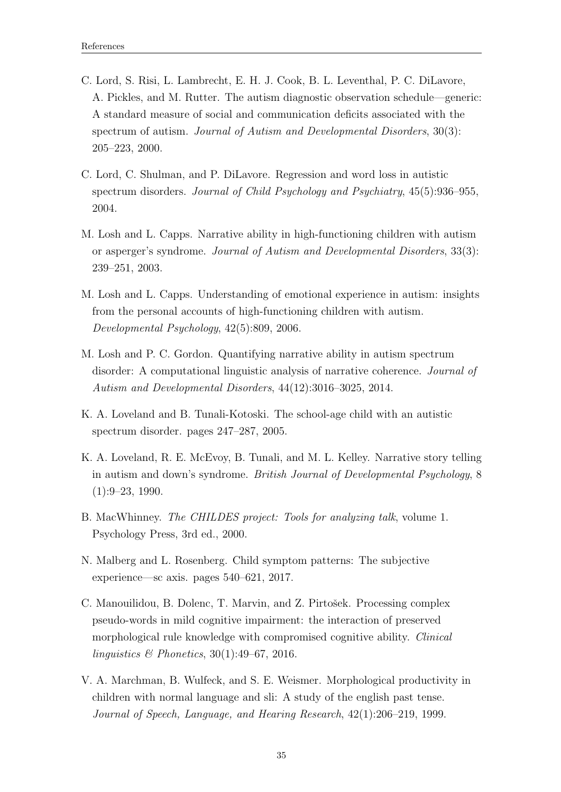- <span id="page-41-7"></span>C. Lord, S. Risi, L. Lambrecht, E. H. J. Cook, B. L. Leventhal, P. C. DiLavore, A. Pickles, and M. Rutter. The autism diagnostic observation schedule—generic: A standard measure of social and communication deficits associated with the spectrum of autism. Journal of Autism and Developmental Disorders, 30(3): 205–223, 2000.
- <span id="page-41-6"></span>C. Lord, C. Shulman, and P. DiLavore. Regression and word loss in autistic spectrum disorders. Journal of Child Psychology and Psychiatry, 45(5):936–955, 2004.
- <span id="page-41-5"></span>M. Losh and L. Capps. Narrative ability in high-functioning children with autism or asperger's syndrome. Journal of Autism and Developmental Disorders, 33(3): 239–251, 2003.
- M. Losh and L. Capps. Understanding of emotional experience in autism: insights from the personal accounts of high-functioning children with autism. Developmental Psychology, 42(5):809, 2006.
- <span id="page-41-8"></span>M. Losh and P. C. Gordon. Quantifying narrative ability in autism spectrum disorder: A computational linguistic analysis of narrative coherence. Journal of Autism and Developmental Disorders, 44(12):3016–3025, 2014.
- <span id="page-41-4"></span>K. A. Loveland and B. Tunali-Kotoski. The school-age child with an autistic spectrum disorder. pages 247–287, 2005.
- <span id="page-41-3"></span>K. A. Loveland, R. E. McEvoy, B. Tunali, and M. L. Kelley. Narrative story telling in autism and down's syndrome. British Journal of Developmental Psychology, 8 (1):9–23, 1990.
- B. MacWhinney. The CHILDES project: Tools for analyzing talk, volume 1. Psychology Press, 3rd ed., 2000.
- <span id="page-41-2"></span>N. Malberg and L. Rosenberg. Child symptom patterns: The subjective experience—sc axis. pages 540–621, 2017.
- <span id="page-41-1"></span>C. Manouilidou, B. Dolenc, T. Marvin, and Z. Pirtošek. Processing complex pseudo-words in mild cognitive impairment: the interaction of preserved morphological rule knowledge with compromised cognitive ability. Clinical linguistics & Phonetics, 30(1):49–67, 2016.
- <span id="page-41-0"></span>V. A. Marchman, B. Wulfeck, and S. E. Weismer. Morphological productivity in children with normal language and sli: A study of the english past tense. Journal of Speech, Language, and Hearing Research, 42(1):206–219, 1999.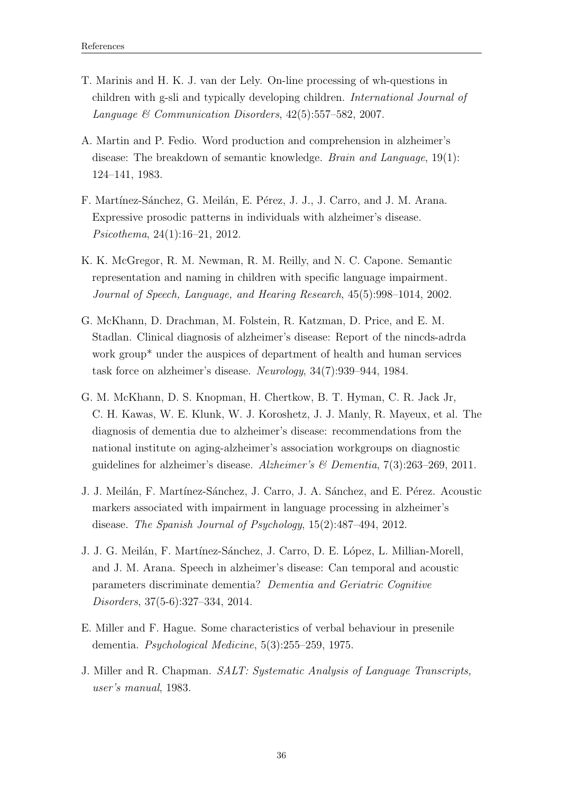- <span id="page-42-0"></span>T. Marinis and H. K. J. van der Lely. On-line processing of wh-questions in children with g-sli and typically developing children. International Journal of Language & Communication Disorders, 42(5):557–582, 2007.
- <span id="page-42-5"></span>A. Martin and P. Fedio. Word production and comprehension in alzheimer's disease: The breakdown of semantic knowledge. Brain and Language, 19(1): 124–141, 1983.
- <span id="page-42-6"></span>F. Martínez-Sánchez, G. Meilán, E. Pérez, J. J., J. Carro, and J. M. Arana. Expressive prosodic patterns in individuals with alzheimer's disease. Psicothema, 24(1):16–21, 2012.
- <span id="page-42-1"></span>K. K. McGregor, R. M. Newman, R. M. Reilly, and N. C. Capone. Semantic representation and naming in children with specific language impairment. Journal of Speech, Language, and Hearing Research, 45(5):998–1014, 2002.
- <span id="page-42-2"></span>G. McKhann, D. Drachman, M. Folstein, R. Katzman, D. Price, and E. M. Stadlan. Clinical diagnosis of alzheimer's disease: Report of the nincds-adrda work group<sup>\*</sup> under the auspices of department of health and human services task force on alzheimer's disease. Neurology, 34(7):939–944, 1984.
- <span id="page-42-3"></span>G. M. McKhann, D. S. Knopman, H. Chertkow, B. T. Hyman, C. R. Jack Jr, C. H. Kawas, W. E. Klunk, W. J. Koroshetz, J. J. Manly, R. Mayeux, et al. The diagnosis of dementia due to alzheimer's disease: recommendations from the national institute on aging-alzheimer's association workgroups on diagnostic guidelines for alzheimer's disease. Alzheimer's  $\mathscr$  Dementia, 7(3):263–269, 2011.
- <span id="page-42-7"></span>J. J. Meilán, F. Martínez-Sánchez, J. Carro, J. A. Sánchez, and E. Pérez. Acoustic markers associated with impairment in language processing in alzheimer's disease. The Spanish Journal of Psychology, 15(2):487–494, 2012.
- <span id="page-42-8"></span>J. J. G. Meilán, F. Martínez-Sánchez, J. Carro, D. E. López, L. Millian-Morell, and J. M. Arana. Speech in alzheimer's disease: Can temporal and acoustic parameters discriminate dementia? Dementia and Geriatric Cognitive Disorders, 37(5-6):327–334, 2014.
- <span id="page-42-4"></span>E. Miller and F. Hague. Some characteristics of verbal behaviour in presenile dementia. Psychological Medicine, 5(3):255–259, 1975.
- J. Miller and R. Chapman. SALT: Systematic Analysis of Language Transcripts, user's manual, 1983.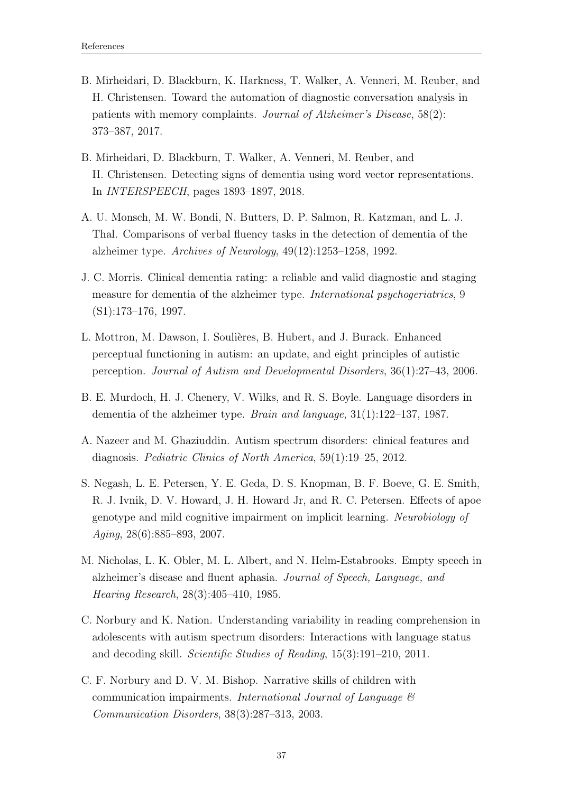- <span id="page-43-9"></span>B. Mirheidari, D. Blackburn, K. Harkness, T. Walker, A. Venneri, M. Reuber, and H. Christensen. Toward the automation of diagnostic conversation analysis in patients with memory complaints. Journal of Alzheimer's Disease, 58(2): 373–387, 2017.
- <span id="page-43-8"></span>B. Mirheidari, D. Blackburn, T. Walker, A. Venneri, M. Reuber, and H. Christensen. Detecting signs of dementia using word vector representations. In INTERSPEECH, pages 1893–1897, 2018.
- <span id="page-43-3"></span>A. U. Monsch, M. W. Bondi, N. Butters, D. P. Salmon, R. Katzman, and L. J. Thal. Comparisons of verbal fluency tasks in the detection of dementia of the alzheimer type. Archives of Neurology, 49(12):1253–1258, 1992.
- <span id="page-43-5"></span>J. C. Morris. Clinical dementia rating: a reliable and valid diagnostic and staging measure for dementia of the alzheimer type. *International psychogeriatrics*, 9 (S1):173–176, 1997.
- <span id="page-43-7"></span>L. Mottron, M. Dawson, I. Soulières, B. Hubert, and J. Burack. Enhanced perceptual functioning in autism: an update, and eight principles of autistic perception. Journal of Autism and Developmental Disorders, 36(1):27–43, 2006.
- <span id="page-43-2"></span>B. E. Murdoch, H. J. Chenery, V. Wilks, and R. S. Boyle. Language disorders in dementia of the alzheimer type. Brain and language, 31(1):122–137, 1987.
- <span id="page-43-6"></span>A. Nazeer and M. Ghaziuddin. Autism spectrum disorders: clinical features and diagnosis. Pediatric Clinics of North America, 59(1):19–25, 2012.
- <span id="page-43-4"></span>S. Negash, L. E. Petersen, Y. E. Geda, D. S. Knopman, B. F. Boeve, G. E. Smith, R. J. Ivnik, D. V. Howard, J. H. Howard Jr, and R. C. Petersen. Effects of apoe genotype and mild cognitive impairment on implicit learning. Neurobiology of Aging, 28(6):885–893, 2007.
- <span id="page-43-1"></span>M. Nicholas, L. K. Obler, M. L. Albert, and N. Helm-Estabrooks. Empty speech in alzheimer's disease and fluent aphasia. Journal of Speech, Language, and Hearing Research, 28(3):405–410, 1985.
- C. Norbury and K. Nation. Understanding variability in reading comprehension in adolescents with autism spectrum disorders: Interactions with language status and decoding skill. Scientific Studies of Reading, 15(3):191–210, 2011.
- <span id="page-43-0"></span>C. F. Norbury and D. V. M. Bishop. Narrative skills of children with communication impairments. International Journal of Language & Communication Disorders, 38(3):287–313, 2003.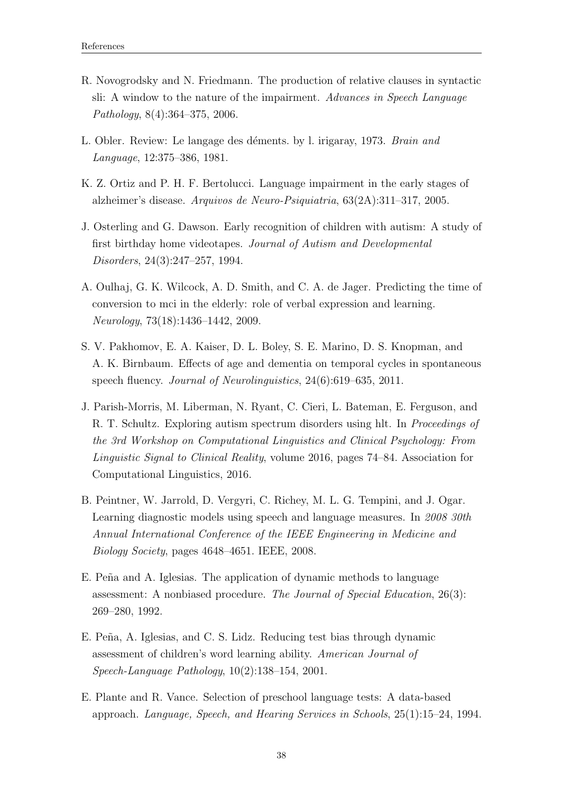- <span id="page-44-2"></span>R. Novogrodsky and N. Friedmann. The production of relative clauses in syntactic sli: A window to the nature of the impairment. Advances in Speech Language Pathology, 8(4):364–375, 2006.
- <span id="page-44-5"></span>L. Obler. Review: Le langage des déments. by l. irigaray, 1973. Brain and Language, 12:375–386, 1981.
- <span id="page-44-3"></span>K. Z. Ortiz and P. H. F. Bertolucci. Language impairment in the early stages of alzheimer's disease. Arquivos de Neuro-Psiquiatria, 63(2A):311–317, 2005.
- <span id="page-44-7"></span>J. Osterling and G. Dawson. Early recognition of children with autism: A study of first birthday home videotapes. Journal of Autism and Developmental Disorders, 24(3):247–257, 1994.
- <span id="page-44-4"></span>A. Oulhaj, G. K. Wilcock, A. D. Smith, and C. A. de Jager. Predicting the time of conversion to mci in the elderly: role of verbal expression and learning. Neurology, 73(18):1436–1442, 2009.
- S. V. Pakhomov, E. A. Kaiser, D. L. Boley, S. E. Marino, D. S. Knopman, and A. K. Birnbaum. Effects of age and dementia on temporal cycles in spontaneous speech fluency. Journal of Neurolinguistics, 24(6):619–635, 2011.
- <span id="page-44-8"></span>J. Parish-Morris, M. Liberman, N. Ryant, C. Cieri, L. Bateman, E. Ferguson, and R. T. Schultz. Exploring autism spectrum disorders using hlt. In Proceedings of the 3rd Workshop on Computational Linguistics and Clinical Psychology: From Linguistic Signal to Clinical Reality, volume 2016, pages 74–84. Association for Computational Linguistics, 2016.
- <span id="page-44-6"></span>B. Peintner, W. Jarrold, D. Vergyri, C. Richey, M. L. G. Tempini, and J. Ogar. Learning diagnostic models using speech and language measures. In 2008 30th Annual International Conference of the IEEE Engineering in Medicine and Biology Society, pages 4648–4651. IEEE, 2008.
- <span id="page-44-0"></span>E. Peña and A. Iglesias. The application of dynamic methods to language assessment: A nonbiased procedure. The Journal of Special Education, 26(3): 269–280, 1992.
- <span id="page-44-1"></span>E. Peña, A. Iglesias, and C. S. Lidz. Reducing test bias through dynamic assessment of children's word learning ability. American Journal of Speech-Language Pathology, 10(2):138–154, 2001.
- <span id="page-44-9"></span>E. Plante and R. Vance. Selection of preschool language tests: A data-based approach. Language, Speech, and Hearing Services in Schools, 25(1):15–24, 1994.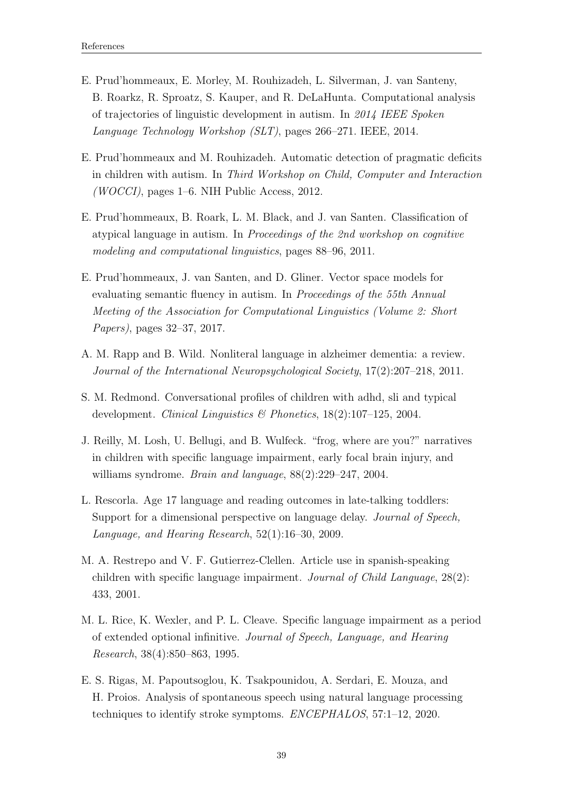- <span id="page-45-7"></span>E. Prud'hommeaux, E. Morley, M. Rouhizadeh, L. Silverman, J. van Santeny, B. Roarkz, R. Sproatz, S. Kauper, and R. DeLaHunta. Computational analysis of trajectories of linguistic development in autism. In 2014 IEEE Spoken Language Technology Workshop (SLT), pages 266–271. IEEE, 2014.
- <span id="page-45-9"></span>E. Prud'hommeaux and M. Rouhizadeh. Automatic detection of pragmatic deficits in children with autism. In Third Workshop on Child, Computer and Interaction (WOCCI), pages 1–6. NIH Public Access, 2012.
- <span id="page-45-6"></span>E. Prud'hommeaux, B. Roark, L. M. Black, and J. van Santen. Classification of atypical language in autism. In Proceedings of the 2nd workshop on cognitive modeling and computational linguistics, pages 88–96, 2011.
- <span id="page-45-8"></span>E. Prud'hommeaux, J. van Santen, and D. Gliner. Vector space models for evaluating semantic fluency in autism. In Proceedings of the 55th Annual Meeting of the Association for Computational Linguistics (Volume 2: Short Papers), pages 32–37, 2017.
- <span id="page-45-5"></span>A. M. Rapp and B. Wild. Nonliteral language in alzheimer dementia: a review. Journal of the International Neuropsychological Society, 17(2):207–218, 2011.
- <span id="page-45-1"></span>S. M. Redmond. Conversational profiles of children with adhd, sli and typical development. Clinical Linguistics & Phonetics,  $18(2):107-125$ , 2004.
- <span id="page-45-4"></span>J. Reilly, M. Losh, U. Bellugi, and B. Wulfeck. "frog, where are you?" narratives in children with specific language impairment, early focal brain injury, and williams syndrome. Brain and language, 88(2):229–247, 2004.
- <span id="page-45-0"></span>L. Rescorla. Age 17 language and reading outcomes in late-talking toddlers: Support for a dimensional perspective on language delay. *Journal of Speech*, Language, and Hearing Research, 52(1):16–30, 2009.
- <span id="page-45-2"></span>M. A. Restrepo and V. F. Gutierrez-Clellen. Article use in spanish-speaking children with specific language impairment. Journal of Child Language, 28(2): 433, 2001.
- <span id="page-45-3"></span>M. L. Rice, K. Wexler, and P. L. Cleave. Specific language impairment as a period of extended optional infinitive. Journal of Speech, Language, and Hearing Research, 38(4):850–863, 1995.
- E. S. Rigas, M. Papoutsoglou, K. Tsakpounidou, A. Serdari, E. Mouza, and H. Proios. Analysis of spontaneous speech using natural language processing techniques to identify stroke symptoms. ENCEPHALOS, 57:1–12, 2020.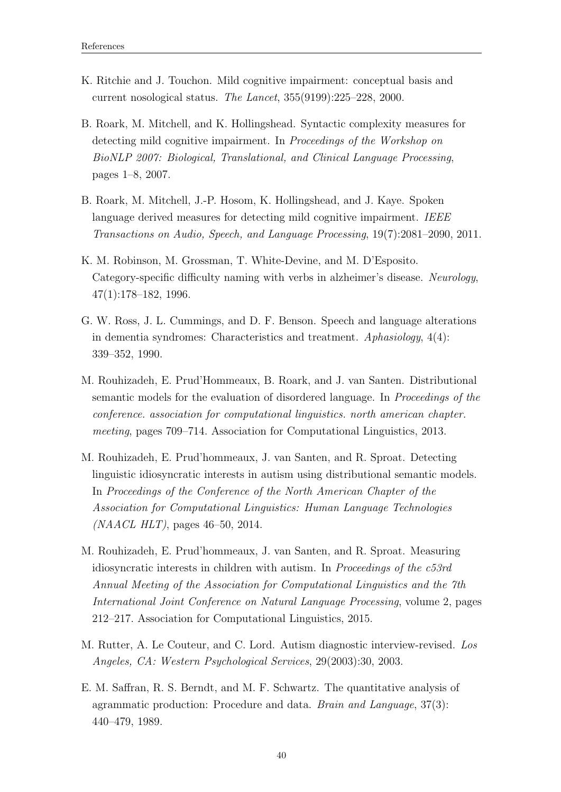- <span id="page-46-3"></span>K. Ritchie and J. Touchon. Mild cognitive impairment: conceptual basis and current nosological status. The Lancet, 355(9199):225–228, 2000.
- <span id="page-46-7"></span>B. Roark, M. Mitchell, and K. Hollingshead. Syntactic complexity measures for detecting mild cognitive impairment. In Proceedings of the Workshop on BioNLP 2007: Biological, Translational, and Clinical Language Processing, pages 1–8, 2007.
- B. Roark, M. Mitchell, J.-P. Hosom, K. Hollingshead, and J. Kaye. Spoken language derived measures for detecting mild cognitive impairment. IEEE Transactions on Audio, Speech, and Language Processing, 19(7):2081–2090, 2011.
- <span id="page-46-1"></span>K. M. Robinson, M. Grossman, T. White-Devine, and M. D'Esposito. Category-specific difficulty naming with verbs in alzheimer's disease. Neurology, 47(1):178–182, 1996.
- <span id="page-46-0"></span>G. W. Ross, J. L. Cummings, and D. F. Benson. Speech and language alterations in dementia syndromes: Characteristics and treatment. Aphasiology, 4(4): 339–352, 1990.
- <span id="page-46-6"></span>M. Rouhizadeh, E. Prud'Hommeaux, B. Roark, and J. van Santen. Distributional semantic models for the evaluation of disordered language. In Proceedings of the conference. association for computational linguistics. north american chapter. meeting, pages 709–714. Association for Computational Linguistics, 2013.
- M. Rouhizadeh, E. Prud'hommeaux, J. van Santen, and R. Sproat. Detecting linguistic idiosyncratic interests in autism using distributional semantic models. In Proceedings of the Conference of the North American Chapter of the Association for Computational Linguistics: Human Language Technologies  $(NAACL HLT)$ , pages 46–50, 2014.
- <span id="page-46-5"></span>M. Rouhizadeh, E. Prud'hommeaux, J. van Santen, and R. Sproat. Measuring idiosyncratic interests in children with autism. In Proceedings of the c53rd Annual Meeting of the Association for Computational Linguistics and the 7th International Joint Conference on Natural Language Processing, volume 2, pages 212–217. Association for Computational Linguistics, 2015.
- <span id="page-46-4"></span>M. Rutter, A. Le Couteur, and C. Lord. Autism diagnostic interview-revised. Los Angeles, CA: Western Psychological Services, 29(2003):30, 2003.
- <span id="page-46-2"></span>E. M. Saffran, R. S. Berndt, and M. F. Schwartz. The quantitative analysis of agrammatic production: Procedure and data. Brain and Language, 37(3): 440–479, 1989.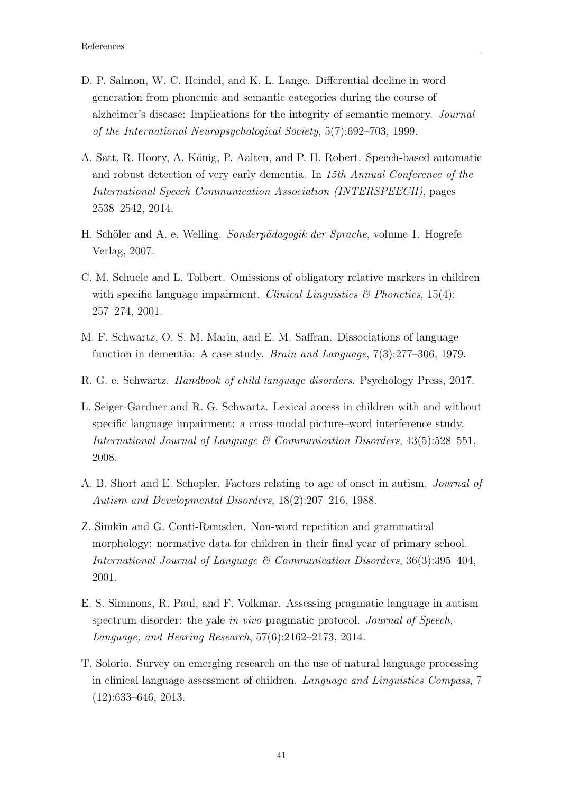- <span id="page-47-7"></span>D. P. Salmon, W. C. Heindel, and K. L. Lange. Differential decline in word generation from phonemic and semantic categories during the course of alzheimer's disease: Implications for the integrity of semantic memory. Journal of the International Neuropsychological Society, 5(7):692–703, 1999.
- <span id="page-47-8"></span>A. Satt, R. Hoory, A. König, P. Aalten, and P. H. Robert. Speech-based automatic and robust detection of very early dementia. In 15th Annual Conference of the International Speech Communication Association (INTERSPEECH), pages 2538–2542, 2014.
- <span id="page-47-1"></span>H. Schöler and A. e. Welling. Sonderpädagogik der Sprache, volume 1. Hogrefe Verlag, 2007.
- <span id="page-47-4"></span>C. M. Schuele and L. Tolbert. Omissions of obligatory relative markers in children with specific language impairment. Clinical Linguistics  $\mathcal{B}$  Phonetics, 15(4): 257–274, 2001.
- <span id="page-47-6"></span>M. F. Schwartz, O. S. M. Marin, and E. M. Saffran. Dissociations of language function in dementia: A case study. Brain and Language, 7(3):277–306, 1979.
- <span id="page-47-2"></span>R. G. e. Schwartz. Handbook of child language disorders. Psychology Press, 2017.
- <span id="page-47-5"></span>L. Seiger-Gardner and R. G. Schwartz. Lexical access in children with and without specific language impairment: a cross-modal picture–word interference study. International Journal of Language  $\mathcal C$  Communication Disorders, 43(5):528–551, 2008.
- <span id="page-47-10"></span>A. B. Short and E. Schopler. Factors relating to age of onset in autism. Journal of Autism and Developmental Disorders, 18(2):207–216, 1988.
- <span id="page-47-3"></span>Z. Simkin and G. Conti-Ramsden. Non-word repetition and grammatical morphology: normative data for children in their final year of primary school. International Journal of Language  $\mathcal B$  Communication Disorders, 36(3):395-404, 2001.
- <span id="page-47-9"></span>E. S. Simmons, R. Paul, and F. Volkmar. Assessing pragmatic language in autism spectrum disorder: the yale in vivo pragmatic protocol. Journal of Speech, Language, and Hearing Research, 57(6):2162–2173, 2014.
- <span id="page-47-0"></span>T. Solorio. Survey on emerging research on the use of natural language processing in clinical language assessment of children. Language and Linguistics Compass, 7 (12):633–646, 2013.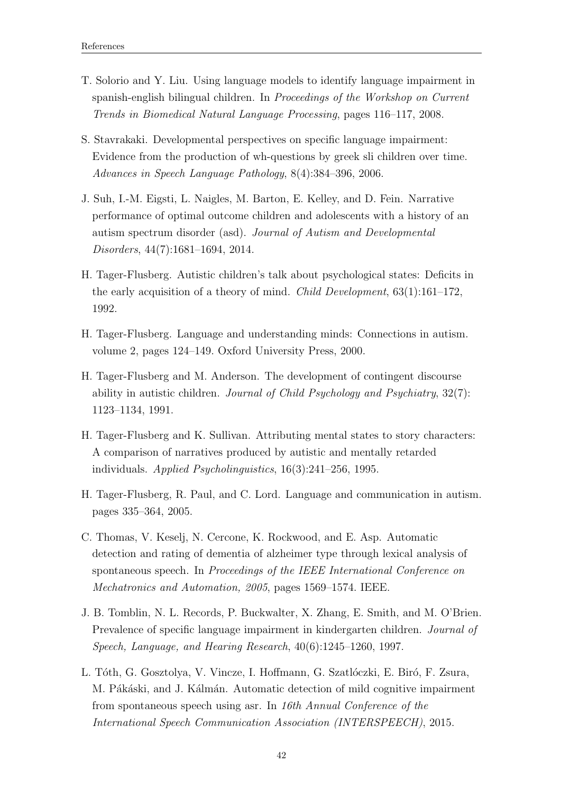- <span id="page-48-7"></span>T. Solorio and Y. Liu. Using language models to identify language impairment in spanish-english bilingual children. In Proceedings of the Workshop on Current Trends in Biomedical Natural Language Processing, pages 116–117, 2008.
- <span id="page-48-1"></span>S. Stavrakaki. Developmental perspectives on specific language impairment: Evidence from the production of wh-questions by greek sli children over time. Advances in Speech Language Pathology, 8(4):384–396, 2006.
- <span id="page-48-4"></span>J. Suh, I.-M. Eigsti, L. Naigles, M. Barton, E. Kelley, and D. Fein. Narrative performance of optimal outcome children and adolescents with a history of an autism spectrum disorder (asd). Journal of Autism and Developmental Disorders, 44(7):1681–1694, 2014.
- <span id="page-48-5"></span>H. Tager-Flusberg. Autistic children's talk about psychological states: Deficits in the early acquisition of a theory of mind. *Child Development*,  $63(1):161-172$ , 1992.
- H. Tager-Flusberg. Language and understanding minds: Connections in autism. volume 2, pages 124–149. Oxford University Press, 2000.
- <span id="page-48-2"></span>H. Tager-Flusberg and M. Anderson. The development of contingent discourse ability in autistic children. Journal of Child Psychology and Psychiatry, 32(7): 1123–1134, 1991.
- <span id="page-48-6"></span>H. Tager-Flusberg and K. Sullivan. Attributing mental states to story characters: A comparison of narratives produced by autistic and mentally retarded individuals. Applied Psycholinguistics, 16(3):241–256, 1995.
- <span id="page-48-3"></span>H. Tager-Flusberg, R. Paul, and C. Lord. Language and communication in autism. pages 335–364, 2005.
- C. Thomas, V. Keselj, N. Cercone, K. Rockwood, and E. Asp. Automatic detection and rating of dementia of alzheimer type through lexical analysis of spontaneous speech. In Proceedings of the IEEE International Conference on Mechatronics and Automation, 2005, pages 1569–1574. IEEE.
- <span id="page-48-0"></span>J. B. Tomblin, N. L. Records, P. Buckwalter, X. Zhang, E. Smith, and M. O'Brien. Prevalence of specific language impairment in kindergarten children. Journal of Speech, Language, and Hearing Research, 40(6):1245–1260, 1997.
- L. Tóth, G. Gosztolya, V. Vincze, I. Hoffmann, G. Szatlóczki, E. Biró, F. Zsura, M. Pákáski, and J. Kálmán. Automatic detection of mild cognitive impairment from spontaneous speech using asr. In 16th Annual Conference of the International Speech Communication Association (INTERSPEECH), 2015.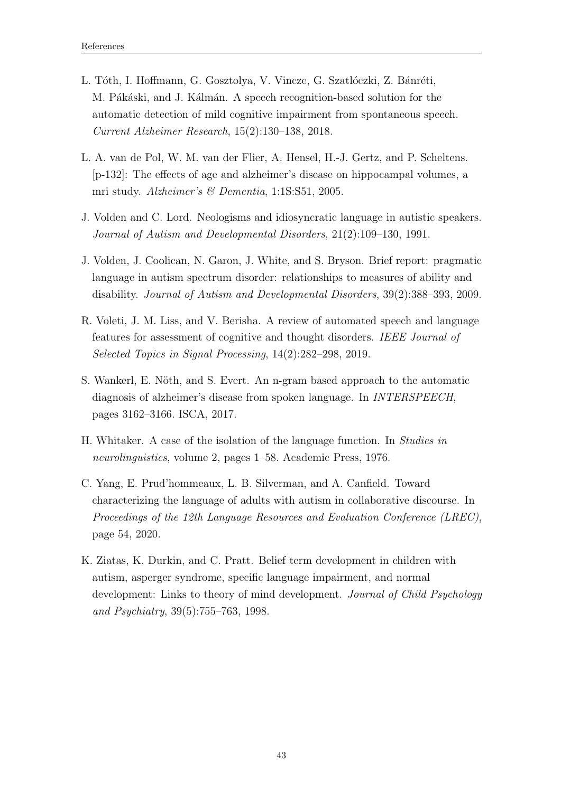- <span id="page-49-3"></span>L. Tóth, I. Hoffmann, G. Gosztolya, V. Vincze, G. Szatlóczki, Z. Bánréti, M. Pákáski, and J. Kálmán. A speech recognition-based solution for the automatic detection of mild cognitive impairment from spontaneous speech. Current Alzheimer Research, 15(2):130–138, 2018.
- <span id="page-49-1"></span>L. A. van de Pol, W. M. van der Flier, A. Hensel, H.-J. Gertz, and P. Scheltens. [p-132]: The effects of age and alzheimer's disease on hippocampal volumes, a mri study. Alzheimer's & Dementia, 1:1S:S51, 2005.
- <span id="page-49-6"></span>J. Volden and C. Lord. Neologisms and idiosyncratic language in autistic speakers. Journal of Autism and Developmental Disorders, 21(2):109–130, 1991.
- <span id="page-49-4"></span>J. Volden, J. Coolican, N. Garon, J. White, and S. Bryson. Brief report: pragmatic language in autism spectrum disorder: relationships to measures of ability and disability. Journal of Autism and Developmental Disorders, 39(2):388–393, 2009.
- <span id="page-49-8"></span>R. Voleti, J. M. Liss, and V. Berisha. A review of automated speech and language features for assessment of cognitive and thought disorders. IEEE Journal of Selected Topics in Signal Processing, 14(2):282–298, 2019.
- <span id="page-49-0"></span>S. Wankerl, E. Nöth, and S. Evert. An n-gram based approach to the automatic diagnosis of alzheimer's disease from spoken language. In INTERSPEECH, pages 3162–3166. ISCA, 2017.
- <span id="page-49-2"></span>H. Whitaker. A case of the isolation of the language function. In Studies in neurolinguistics, volume 2, pages 1–58. Academic Press, 1976.
- <span id="page-49-5"></span>C. Yang, E. Prud'hommeaux, L. B. Silverman, and A. Canfield. Toward characterizing the language of adults with autism in collaborative discourse. In Proceedings of the 12th Language Resources and Evaluation Conference (LREC), page 54, 2020.
- <span id="page-49-7"></span>K. Ziatas, K. Durkin, and C. Pratt. Belief term development in children with autism, asperger syndrome, specific language impairment, and normal development: Links to theory of mind development. Journal of Child Psychology and Psychiatry, 39(5):755–763, 1998.